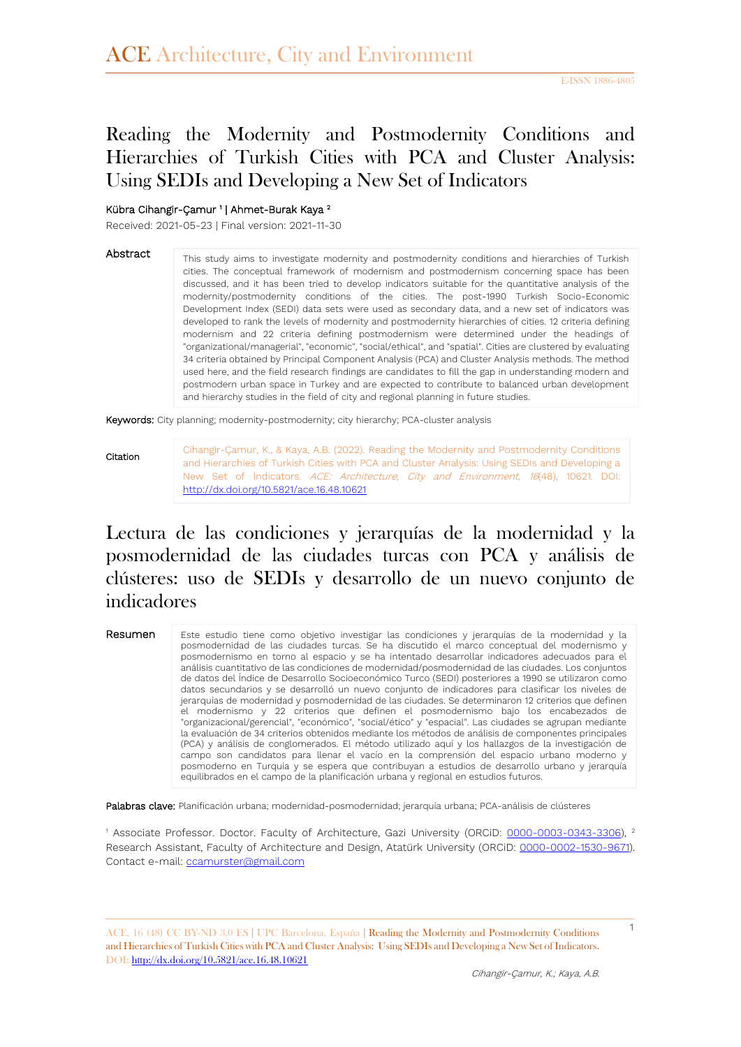# Reading the Modernity and Postmodernity Conditions and Hierarchies of Turkish Cities with PCA and Cluster Analysis: Using SEDIs and Developing a New Set of Indicators

#### Kübra Cihangir-Çamur<sup>1</sup> | Ahmet-Burak Kaya<sup>2</sup>

Received: 2021-05-23 | Final version: 2021-11-30

#### Abstract

This study aims to investigate modernity and postmodernity conditions and hierarchies of Turkish cities. The conceptual framework of modernism and postmodernism concerning space has been discussed, and it has been tried to develop indicators suitable for the quantitative analysis of the modernity/postmodernity conditions of the cities. The post-1990 Turkish Socio-Economic Development Index (SEDI) data sets were used as secondary data, and a new set of indicators was developed to rank the levels of modernity and postmodernity hierarchies of cities. 12 criteria defining modernism and 22 criteria defining postmodernism were determined under the headings of "organizational/managerial", "economic", "social/ethical", and "spatial". Cities are clustered by evaluating 34 criteria obtained by Principal Component Analysis (PCA) and Cluster Analysis methods. The method used here, and the field research findings are candidates to fill the gap in understanding modern and postmodern urban space in Turkey and are expected to contribute to balanced urban development and hierarchy studies in the field of city and regional planning in future studies.

Keywords: City planning; modernity-postmodernity; city hierarchy; PCA-cluster analysis

#### Citation

Cihangir-Çamur, K., & Kaya, A.B. (2022). Reading the Modernity and Postmodernity Conditions and Hierarchies of Turkish Cities with PCA and Cluster Analysis: Using SEDIs and Developing a New Set of Indicators. ACE: Architecture, City and Environment, 16(48), 10621. DOI: <http://dx.doi.org/10.5821/ace.16.48.10621>

# Lectura de las condiciones y jerarquías de la modernidad y la posmodernidad de las ciudades turcas con PCA y análisis de clústeres: uso de SEDIs y desarrollo de un nuevo conjunto de indicadores

#### Resumen

Este estudio tiene como objetivo investigar las condiciones y jerarquías de la modernidad y la posmodernidad de las ciudades turcas. Se ha discutido el marco conceptual del modernismo y posmodernismo en torno al espacio y se ha intentado desarrollar indicadores adecuados para el análisis cuantitativo de las condiciones de modernidad/posmodernidad de las ciudades. Los conjuntos de datos del Índice de Desarrollo Socioeconómico Turco (SEDI) posteriores a 1990 se utilizaron como datos secundarios y se desarrolló un nuevo conjunto de indicadores para clasificar los niveles de jerarquías de modernidad y posmodernidad de las ciudades. Se determinaron 12 criterios que definen el modernismo y 22 criterios que definen el posmodernismo bajo los encabezados de "organizacional/gerencial", "económico", "social/ético" y "espacial". Las ciudades se agrupan mediante la evaluación de 34 criterios obtenidos mediante los métodos de análisis de componentes principales (PCA) y análisis de conglomerados. El método utilizado aquí y los hallazgos de la investigación de campo son candidatos para llenar el vacío en la comprensión del espacio urbano moderno y posmoderno en Turquía y se espera que contribuyan a estudios de desarrollo urbano y jerarquía equilibrados en el campo de la planificación urbana y regional en estudios futuros.

Palabras clave: Planificación urbana; modernidad-posmodernidad; jerarquía urbana; PCA-análisis de clústeres

<sup>1</sup> Associate Professor. Doctor. Faculty of Architecture, Gazi University (ORCiD: [0000-0003-0343-3306\)](https://orcid.org/0000-0003-0343-3306), <sup>2</sup> Research Assistant, Faculty of Architecture and Design, Atatürk University (ORCiD: [0000-0002-1530-9671\)](https://orcid.org/0000-0002-1530-9671). Contact e-mail[: ccamurster@gmail.com](mailto:ccamurster@gmail.com)

ACE, 16 (48) CC BY-ND 3.0 ES **|** UPC Barcelona, España **|** Reading the Modernity and Postmodernity Conditions and Hierarchies of Turkish Cities with PCA and Cluster Analysis: Using SEDIs and Developing a New Set of Indicators. DOI:<http://dx.doi.org/10.5821/ace.16.48.10621>

1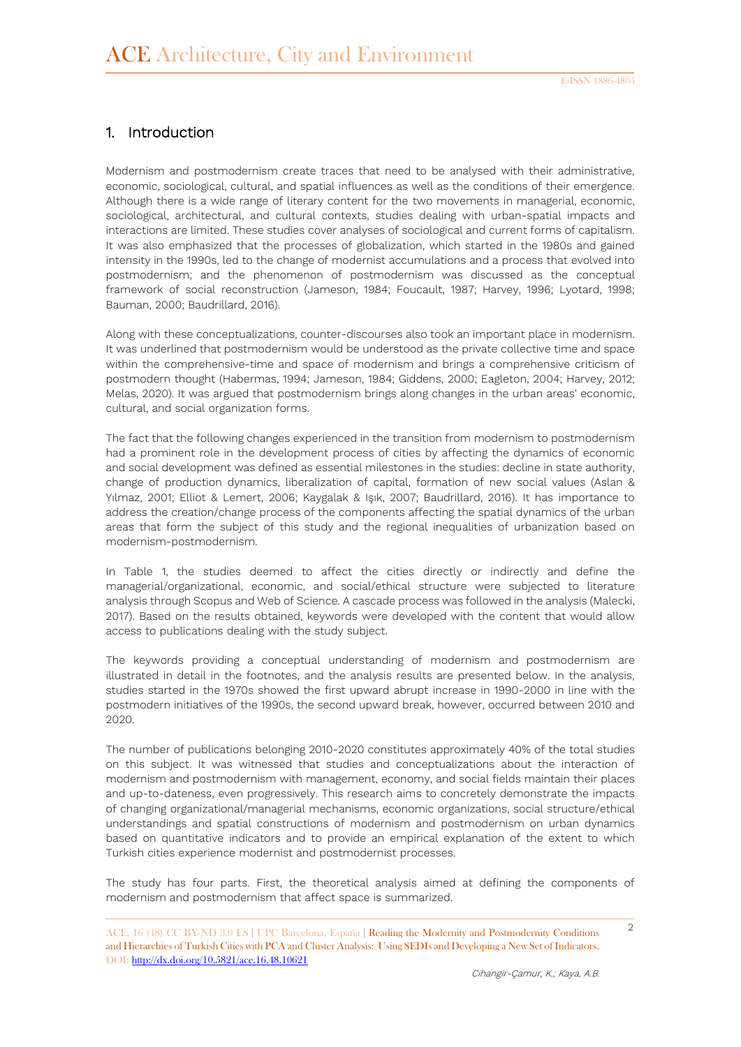### 1. Introduction

Modernism and postmodernism create traces that need to be analysed with their administrative, economic, sociological, cultural, and spatial influences as well as the conditions of their emergence. Although there is a wide range of literary content for the two movements in managerial, economic, sociological, architectural, and cultural contexts, studies dealing with urban-spatial impacts and interactions are limited. These studies cover analyses of sociological and current forms of capitalism. It was also emphasized that the processes of globalization, which started in the 1980s and gained intensity in the 1990s, led to the change of modernist accumulations and a process that evolved into postmodernism; and the phenomenon of postmodernism was discussed as the conceptual framework of social reconstruction (Jameson, 1984; Foucault, 1987; Harvey, 1996; Lyotard, 1998; Bauman, 2000; Baudrillard, 2016).

Along with these conceptualizations, counter-discourses also took an important place in modernism. It was underlined that postmodernism would be understood as the private collective time and space within the comprehensive-time and space of modernism and brings a comprehensive criticism of postmodern thought (Habermas, 1994; Jameson, 1984; Giddens, 2000; Eagleton, 2004; Harvey, 2012; Melas, 2020). It was argued that postmodernism brings along changes in the urban areas' economic, cultural, and social organization forms.

The fact that the following changes experienced in the transition from modernism to postmodernism had a prominent role in the development process of cities by affecting the dynamics of economic and social development was defined as essential milestones in the studies: decline in state authority, change of production dynamics, liberalization of capital, formation of new social values (Aslan & Yılmaz, 2001; Elliot & Lemert, 2006; Kaygalak & Işık, 2007; Baudrillard, 2016). It has importance to address the creation/change process of the components affecting the spatial dynamics of the urban areas that form the subject of this study and the regional inequalities of urbanization based on modernism-postmodernism.

In Table 1, the studies deemed to affect the cities directly or indirectly and define the managerial/organizational, economic, and social/ethical structure were subjected to literature analysis through Scopus and Web of Science. A cascade process was followed in the analysis (Malecki, 2017). Based on the results obtained, keywords were developed with the content that would allow access to publications dealing with the study subject.

The keywords providing a conceptual understanding of modernism and postmodernism are illustrated in detail in the footnotes, and the analysis results are presented below. In the analysis, studies started in the 1970s showed the first upward abrupt increase in 1990-2000 in line with the postmodern initiatives of the 1990s, the second upward break, however, occurred between 2010 and 2020.

The number of publications belonging 2010-2020 constitutes approximately 40% of the total studies on this subject. It was witnessed that studies and conceptualizations about the interaction of modernism and postmodernism with management, economy, and social fields maintain their places and up-to-dateness, even progressively. This research aims to concretely demonstrate the impacts of changing organizational/managerial mechanisms, economic organizations, social structure/ethical understandings and spatial constructions of modernism and postmodernism on urban dynamics based on quantitative indicators and to provide an empirical explanation of the extent to which Turkish cities experience modernist and postmodernist processes.

The study has four parts. First, the theoretical analysis aimed at defining the components of modernism and postmodernism that affect space is summarized.

 $\mathcal{D}$ 

ACE, 16 (48) CC BY-ND 3.0 ES **|** UPC Barcelona, España **|** Reading the Modernity and Postmodernity Conditions and Hierarchies of Turkish Cities with PCA and Cluster Analysis: Using SEDIs and Developing a New Set of Indicators. DOI:<http://dx.doi.org/10.5821/ace.16.48.10621>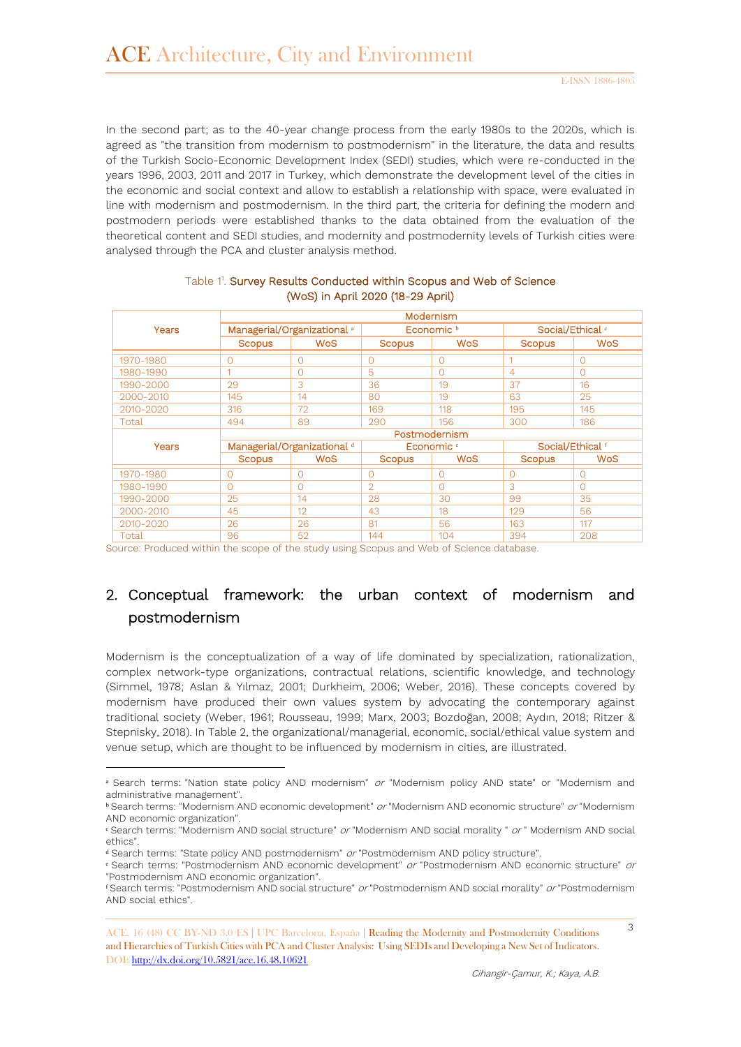In the second part; as to the 40-year change process from the early 1980s to the 2020s, which is agreed as "the transition from modernism to postmodernism" in the literature, the data and results of the Turkish Socio-Economic Development Index (SEDI) studies, which were re-conducted in the years 1996, 2003, 2011 and 2017 in Turkey, which demonstrate the development level of the cities in the economic and social context and allow to establish a relationship with space, were evaluated in line with modernism and postmodernism. In the third part, the criteria for defining the modern and postmodern periods were established thanks to the data obtained from the evaluation of the theoretical content and SEDI studies, and modernity and postmodernity levels of Turkish cities were analysed through the PCA and cluster analysis method.

|           | Modernism                              |                                        |                |                       |                |                             |  |  |  |  |
|-----------|----------------------------------------|----------------------------------------|----------------|-----------------------|----------------|-----------------------------|--|--|--|--|
| Years     |                                        | Managerial/Organizational <sup>a</sup> |                | Economic <sup>b</sup> |                | Social/Ethical <sup>®</sup> |  |  |  |  |
|           | <b>Scopus</b>                          | <b>WoS</b>                             | <b>Scopus</b>  | <b>WoS</b>            | <b>Scopus</b>  | <b>WoS</b>                  |  |  |  |  |
| 1970-1980 | $\Omega$                               | $\Omega$                               | $\Omega$       | $\Omega$              | 1              | $\Omega$                    |  |  |  |  |
| 1980-1990 | и                                      | $\Omega$                               | 5              | $\Omega$              | $\overline{4}$ | $\Omega$                    |  |  |  |  |
| 1990-2000 | 29                                     | 3                                      | 36             | 19                    | 37             | 16                          |  |  |  |  |
| 2000-2010 | 145                                    | 14                                     | 80             | 19                    | 63             | 25                          |  |  |  |  |
| 2010-2020 | 316                                    | 72                                     | 169            | 118                   | 195            | 145                         |  |  |  |  |
| Total     | 494                                    | 89                                     | 290            | 156                   | 300            | 186                         |  |  |  |  |
|           | Postmodernism                          |                                        |                |                       |                |                             |  |  |  |  |
| Years     | Managerial/Organizational <sup>d</sup> |                                        |                | Economic <sup>e</sup> |                | Social/Ethical f            |  |  |  |  |
|           | <b>Scopus</b>                          | <b>WoS</b>                             | <b>Scopus</b>  | <b>WoS</b>            | <b>Scopus</b>  | <b>WoS</b>                  |  |  |  |  |
| 1970-1980 | 0                                      | $\circ$                                | $\circ$        | $\circ$               | $\overline{0}$ | $\circ$                     |  |  |  |  |
| 1980-1990 | n                                      | $\Omega$                               | $\overline{O}$ | $\Omega$              | 3              | $\Omega$                    |  |  |  |  |
| 1990-2000 | 25                                     | 14                                     | 28             | 30                    | 99             | 35                          |  |  |  |  |
| 2000-2010 | 45                                     | 12                                     | 43             | 18                    | 129            | 56                          |  |  |  |  |
| 2010-2020 | 26                                     | 26                                     | 81             | 56                    | 163            | 117                         |  |  |  |  |
| Total     | 96                                     | 52                                     | 144            | 104                   | 394            | 208                         |  |  |  |  |

#### Table 1<sup>1</sup>. Survey Results Conducted within Scopus and Web of Science (WoS) in April 2020 (18-29 April)

Source: Produced within the scope of the study using Scopus and Web of Science database.

# 2. Conceptual framework: the urban context of modernism and postmodernism

Modernism is the conceptualization of a way of life dominated by specialization, rationalization, complex network-type organizations, contractual relations, scientific knowledge, and technology (Simmel, 1978; Aslan & Yılmaz, 2001; Durkheim, 2006; Weber, 2016). These concepts covered by modernism have produced their own values system by advocating the contemporary against traditional society (Weber, 1961; Rousseau, 1999; Marx, 2003; Bozdoğan, 2008; Aydın, 2018; Ritzer & Stepnisky, 2018). In Table 2, the organizational/managerial, economic, social/ethical value system and venue setup, which are thought to be influenced by modernism in cities, are illustrated.

-

3

<sup>&</sup>lt;sup>a</sup> Search terms: "Nation state policy AND modernism" or "Modernism policy AND state" or "Modernism and administrative management".

<sup>&</sup>lt;sup>b</sup> Search terms: "Modernism AND economic development" or "Modernism AND economic structure" or "Modernism AND economic organization".

ᶜ Search terms: "Modernism AND social structure" or "Modernism AND social morality " or " Modernism AND social ethics".

<sup>&</sup>lt;sup>d</sup> Search terms: "State policy AND postmodernism" or "Postmodernism AND policy structure".

ᵉ Search terms: "Postmodernism AND economic development" or "Postmodernism AND economic structure" or "Postmodernism AND economic organization".

ᶠ Search terms: "Postmodernism AND social structure" or "Postmodernism AND social morality" or "Postmodernism AND social ethics".

ACE, 16 (48) CC BY-ND 3.0 ES **|** UPC Barcelona, España **|** Reading the Modernity and Postmodernity Conditions and Hierarchies of Turkish Cities with PCA and Cluster Analysis: Using SEDIs and Developing a New Set of Indicators. DOI:<http://dx.doi.org/10.5821/ace.16.48.10621>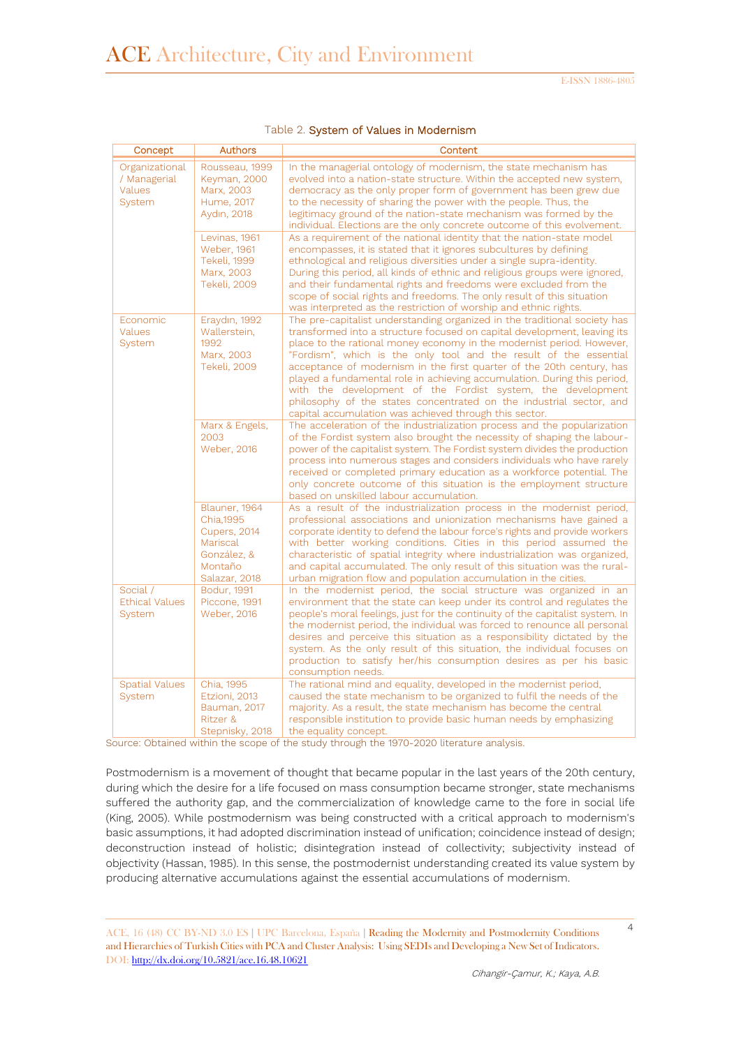| Concept                                            | <b>Authors</b>                                                                                     | Content                                                                                                                                                                                                                                                                                                                                                                                                                                                                                                                                                                                                                                                  |
|----------------------------------------------------|----------------------------------------------------------------------------------------------------|----------------------------------------------------------------------------------------------------------------------------------------------------------------------------------------------------------------------------------------------------------------------------------------------------------------------------------------------------------------------------------------------------------------------------------------------------------------------------------------------------------------------------------------------------------------------------------------------------------------------------------------------------------|
| Organizational<br>/ Managerial<br>Values<br>System | Rousseau, 1999<br>Keyman, 2000<br>Marx, 2003<br>Hume, 2017<br>Aydın, 2018                          | In the managerial ontology of modernism, the state mechanism has<br>evolved into a nation-state structure. Within the accepted new system,<br>democracy as the only proper form of government has been grew due<br>to the necessity of sharing the power with the people. Thus, the<br>legitimacy ground of the nation-state mechanism was formed by the<br>individual. Elections are the only concrete outcome of this evolvement.                                                                                                                                                                                                                      |
|                                                    | Levinas, 1961<br><b>Weber, 1961</b><br>Tekeli, 1999<br>Marx, 2003<br><b>Tekeli, 2009</b>           | As a requirement of the national identity that the nation-state model<br>encompasses, it is stated that it ignores subcultures by defining<br>ethnological and religious diversities under a single supra-identity.<br>During this period, all kinds of ethnic and religious groups were ignored,<br>and their fundamental rights and freedoms were excluded from the<br>scope of social rights and freedoms. The only result of this situation<br>was interpreted as the restriction of worship and ethnic rights.                                                                                                                                      |
| Economic<br><b>Values</b><br>System                | Eraydın, 1992<br>Wallerstein,<br>1992<br>Marx, 2003<br>Tekeli, 2009                                | The pre-capitalist understanding organized in the traditional society has<br>transformed into a structure focused on capital development, leaving its<br>place to the rational money economy in the modernist period. However,<br>"Fordism", which is the only tool and the result of the essential<br>acceptance of modernism in the first quarter of the 20th century, has<br>played a fundamental role in achieving accumulation. During this period,<br>with the development of the Fordist system, the development<br>philosophy of the states concentrated on the industrial sector, and<br>capital accumulation was achieved through this sector. |
|                                                    | Marx & Engels,<br>2003<br><b>Weber, 2016</b>                                                       | The acceleration of the industrialization process and the popularization<br>of the Fordist system also brought the necessity of shaping the labour-<br>power of the capitalist system. The Fordist system divides the production<br>process into numerous stages and considers individuals who have rarely<br>received or completed primary education as a workforce potential. The<br>only concrete outcome of this situation is the employment structure<br>based on unskilled labour accumulation.                                                                                                                                                    |
|                                                    | Blauner, 1964<br>Chia, 1995<br>Cupers, 2014<br>Mariscal<br>González, &<br>Montaño<br>Salazar, 2018 | As a result of the industrialization process in the modernist period,<br>professional associations and unionization mechanisms have gained a<br>corporate identity to defend the labour force's rights and provide workers<br>with better working conditions. Cities in this period assumed the<br>characteristic of spatial integrity where industrialization was organized,<br>and capital accumulated. The only result of this situation was the rural-<br>urban migration flow and population accumulation in the cities.                                                                                                                            |
| Social /<br><b>Ethical Values</b><br>System        | Bodur, 1991<br>Piccone, 1991<br><b>Weber, 2016</b>                                                 | In the modernist period, the social structure was organized in an<br>environment that the state can keep under its control and regulates the<br>people's moral feelings, just for the continuity of the capitalist system. In<br>the modernist period, the individual was forced to renounce all personal<br>desires and perceive this situation as a responsibility dictated by the<br>system. As the only result of this situation, the individual focuses on<br>production to satisfy her/his consumption desires as per his basic<br>consumption needs.                                                                                              |
| <b>Spatial Values</b><br>System                    | Chia, 1995<br>Etzioni, 2013<br>Bauman, 2017<br>Ritzer &<br>Stepnisky, 2018                         | The rational mind and equality, developed in the modernist period,<br>caused the state mechanism to be organized to fulfil the needs of the<br>majority. As a result, the state mechanism has become the central<br>responsible institution to provide basic human needs by emphasizing<br>the equality concept.                                                                                                                                                                                                                                                                                                                                         |

Source: Obtained within the scope of the study through the 1970-2020 literature analysis.

Postmodernism is a movement of thought that became popular in the last years of the 20th century, during which the desire for a life focused on mass consumption became stronger, state mechanisms suffered the authority gap, and the commercialization of knowledge came to the fore in social life (King, 2005). While postmodernism was being constructed with a critical approach to modernism's basic assumptions, it had adopted discrimination instead of unification; coincidence instead of design; deconstruction instead of holistic; disintegration instead of collectivity; subjectivity instead of objectivity (Hassan, 1985). In this sense, the postmodernist understanding created its value system by producing alternative accumulations against the essential accumulations of modernism.

ACE, 16 (48) CC BY-ND 3.0 ES **|** UPC Barcelona, España **|** Reading the Modernity and Postmodernity Conditions and Hierarchies of Turkish Cities with PCA and Cluster Analysis: Using SEDIs and Developing a New Set of Indicators. DOI:<http://dx.doi.org/10.5821/ace.16.48.10621>

4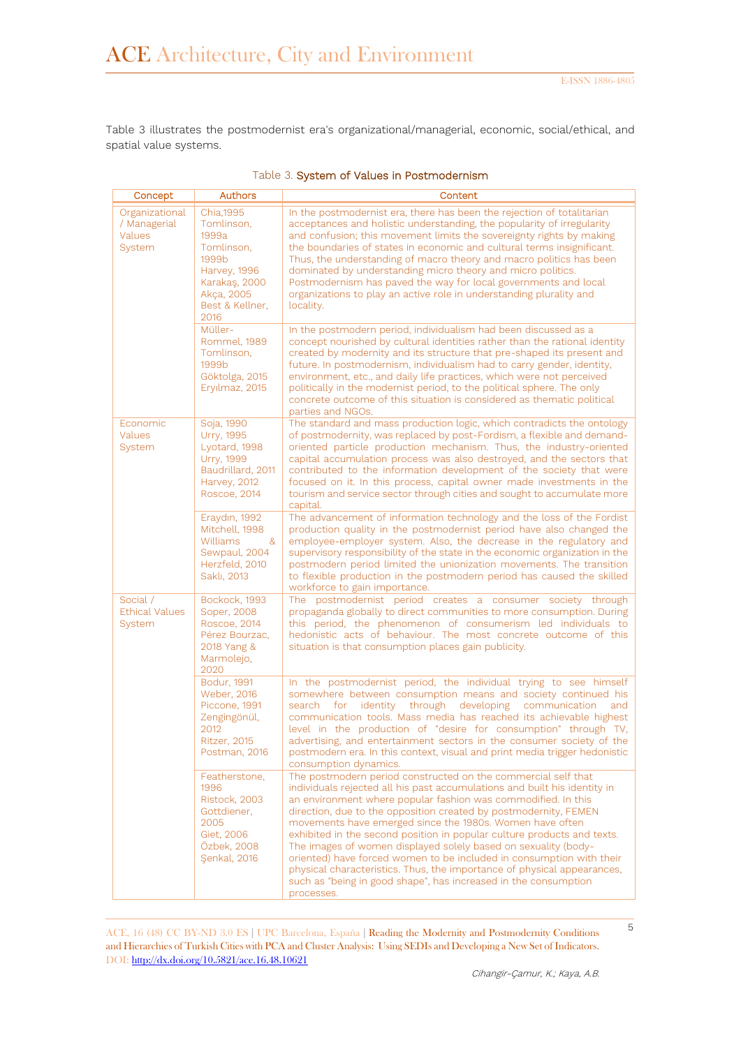Table 3 illustrates the postmodernist era's organizational/managerial, economic, social/ethical, and spatial value systems.

| Concept                                            | Authors                                                                                                                                        | Content                                                                                                                                                                                                                                                                                                                                                                                                                                                                                                                                                                                                                                                                                                                      |
|----------------------------------------------------|------------------------------------------------------------------------------------------------------------------------------------------------|------------------------------------------------------------------------------------------------------------------------------------------------------------------------------------------------------------------------------------------------------------------------------------------------------------------------------------------------------------------------------------------------------------------------------------------------------------------------------------------------------------------------------------------------------------------------------------------------------------------------------------------------------------------------------------------------------------------------------|
| Organizational<br>/ Managerial<br>Values<br>System | Chia, 1995<br>Tomlinson,<br>1999a<br>Tomlinson,<br>1999 <sub>b</sub><br>Harvey, 1996<br>Karakaş, 2000<br>Akça, 2005<br>Best & Kellner,<br>2016 | In the postmodernist era, there has been the rejection of totalitarian<br>acceptances and holistic understanding, the popularity of irregularity<br>and confusion; this movement limits the sovereignty rights by making<br>the boundaries of states in economic and cultural terms insignificant.<br>Thus, the understanding of macro theory and macro politics has been<br>dominated by understanding micro theory and micro politics.<br>Postmodernism has paved the way for local governments and local<br>organizations to play an active role in understanding plurality and<br>locality.                                                                                                                              |
|                                                    | Müller-<br>Rommel, 1989<br>Tomlinson.<br>1999 <sub>b</sub><br>Göktolga, 2015<br>Eryılmaz, 2015                                                 | In the postmodern period, individualism had been discussed as a<br>concept nourished by cultural identities rather than the rational identity<br>created by modernity and its structure that pre-shaped its present and<br>future. In postmodernism, individualism had to carry gender, identity,<br>environment, etc., and daily life practices, which were not perceived<br>politically in the modernist period, to the political sphere. The only<br>concrete outcome of this situation is considered as thematic political<br>parties and NGOs.                                                                                                                                                                          |
| Economic<br><b>Values</b><br>System                | Soja, 1990<br>Urry, 1995<br>Lyotard, 1998<br><b>Urry, 1999</b><br>Baudrillard, 2011<br>Harvey, 2012<br><b>Roscoe, 2014</b>                     | The standard and mass production logic, which contradicts the ontology<br>of postmodernity, was replaced by post-Fordism, a flexible and demand-<br>oriented particle production mechanism. Thus, the industry-oriented<br>capital accumulation process was also destroyed, and the sectors that<br>contributed to the information development of the society that were<br>focused on it. In this process, capital owner made investments in the<br>tourism and service sector through cities and sought to accumulate more<br>capital.                                                                                                                                                                                      |
|                                                    | Eraydın, 1992<br>Mitchell, 1998<br><b>Williams</b><br><u>&amp;</u><br>Sewpaul, 2004<br>Herzfeld, 2010<br>Saklı, 2013                           | The advancement of information technology and the loss of the Fordist<br>production quality in the postmodernist period have also changed the<br>employee-employer system. Also, the decrease in the regulatory and<br>supervisory responsibility of the state in the economic organization in the<br>postmodern period limited the unionization movements. The transition<br>to flexible production in the postmodern period has caused the skilled<br>workforce to gain importance.                                                                                                                                                                                                                                        |
| Social /<br><b>Ethical Values</b><br>System        | Bockock, 1993<br>Soper, 2008<br><b>Roscoe, 2014</b><br>Pérez Bourzac,<br>2018 Yang &<br>Marmolejo,<br>2020                                     | The postmodernist period creates a consumer society through<br>propaganda globally to direct communities to more consumption. During<br>this period, the phenomenon of consumerism led individuals to<br>hedonistic acts of behaviour. The most concrete outcome of this<br>situation is that consumption places gain publicity.                                                                                                                                                                                                                                                                                                                                                                                             |
|                                                    | Bodur, 1991<br>Weber, 2016<br>Piccone, 1991<br>Zengingönül,<br>2012<br><b>Ritzer, 2015</b><br>Postman, 2016                                    | In the postmodernist period, the individual trying to see himself<br>somewhere between consumption means and society continued his<br>search for identity through developing<br>communication<br>and<br>communication tools. Mass media has reached its achievable highest<br>level in the production of "desire for consumption" through TV,<br>advertising, and entertainment sectors in the consumer society of the<br>postmodern era. In this context, visual and print media trigger hedonistic<br>consumption dynamics.                                                                                                                                                                                                |
|                                                    | Featherstone,<br>1996<br>Ristock, 2003<br>Gottdiener,<br>2005<br>Giet, 2006<br>Özbek, 2008<br>Senkal, 2016                                     | The postmodern period constructed on the commercial self that<br>individuals rejected all his past accumulations and built his identity in<br>an environment where popular fashion was commodified. In this<br>direction, due to the opposition created by postmodernity, FEMEN<br>movements have emerged since the 1980s. Women have often<br>exhibited in the second position in popular culture products and texts.<br>The images of women displayed solely based on sexuality (body-<br>oriented) have forced women to be included in consumption with their<br>physical characteristics. Thus, the importance of physical appearances,<br>such as "being in good shape", has increased in the consumption<br>processes. |

|  |  | Table 3. System of Values in Postmodernism |
|--|--|--------------------------------------------|
|--|--|--------------------------------------------|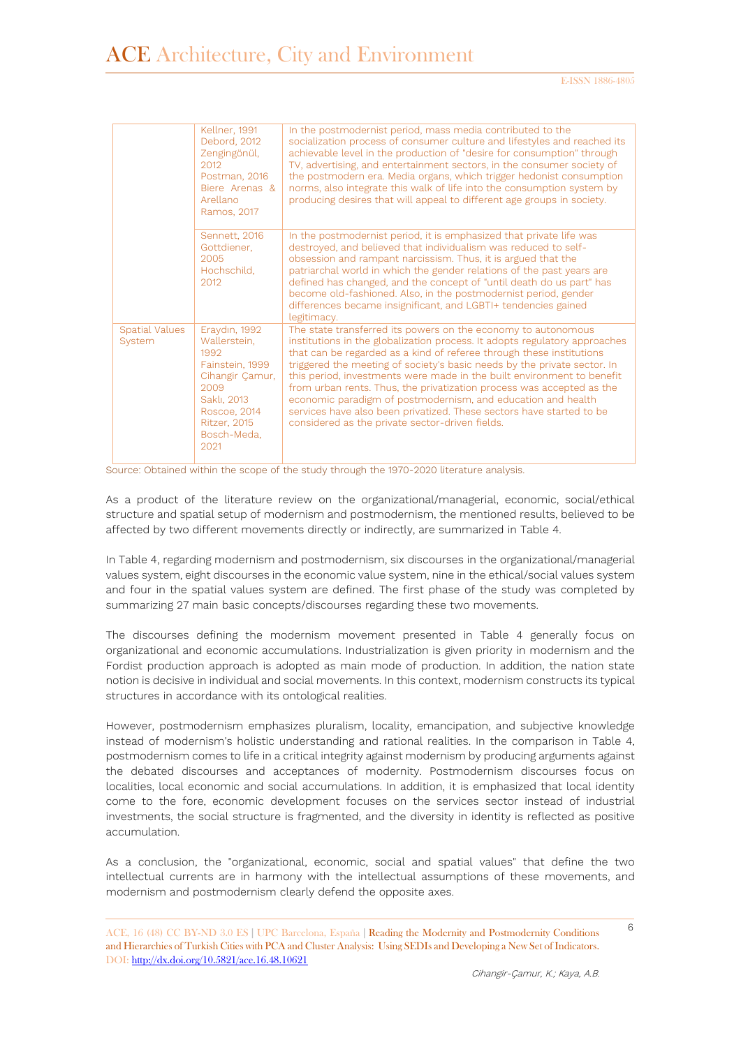|                                 | Kellner, 1991<br>Debord, 2012<br>Zengingönül,<br>2012<br>Postman, 2016<br>Biere Arenas &<br>Arellano<br>Ramos, 2017                                              | In the postmodernist period, mass media contributed to the<br>socialization process of consumer culture and lifestyles and reached its<br>achievable level in the production of "desire for consumption" through<br>TV, advertising, and entertainment sectors, in the consumer society of<br>the postmodern era. Media organs, which trigger hedonist consumption<br>norms, also integrate this walk of life into the consumption system by<br>producing desires that will appeal to different age groups in society.                                                                                                                        |
|---------------------------------|------------------------------------------------------------------------------------------------------------------------------------------------------------------|-----------------------------------------------------------------------------------------------------------------------------------------------------------------------------------------------------------------------------------------------------------------------------------------------------------------------------------------------------------------------------------------------------------------------------------------------------------------------------------------------------------------------------------------------------------------------------------------------------------------------------------------------|
|                                 | Sennett, 2016<br>Gottdiener.<br>2005<br>Hochschild,<br>2012                                                                                                      | In the postmodernist period, it is emphasized that private life was<br>destroyed, and believed that individualism was reduced to self-<br>obsession and rampant narcissism. Thus, it is argued that the<br>patriarchal world in which the gender relations of the past years are<br>defined has changed, and the concept of "until death do us part" has<br>become old-fashioned. Also, in the postmodernist period, gender<br>differences became insignificant, and LGBTI+ tendencies gained<br>legitimacy.                                                                                                                                  |
| <b>Spatial Values</b><br>System | Eraydın, 1992<br>Wallerstein,<br>1992<br>Fainstein, 1999<br>Cihangir Çamur,<br>2009<br>Saklı, 2013<br>Roscoe, 2014<br><b>Ritzer, 2015</b><br>Bosch-Meda.<br>2021 | The state transferred its powers on the economy to autonomous<br>institutions in the globalization process. It adopts regulatory approaches<br>that can be regarded as a kind of referee through these institutions<br>triggered the meeting of society's basic needs by the private sector. In<br>this period, investments were made in the built environment to benefit<br>from urban rents. Thus, the privatization process was accepted as the<br>economic paradigm of postmodernism, and education and health<br>services have also been privatized. These sectors have started to be<br>considered as the private sector-driven fields. |

Source: Obtained within the scope of the study through the 1970-2020 literature analysis.

As a product of the literature review on the organizational/managerial, economic, social/ethical structure and spatial setup of modernism and postmodernism, the mentioned results, believed to be affected by two different movements directly or indirectly, are summarized in Table 4.

In Table 4, regarding modernism and postmodernism, six discourses in the organizational/managerial values system, eight discourses in the economic value system, nine in the ethical/social values system and four in the spatial values system are defined. The first phase of the study was completed by summarizing 27 main basic concepts/discourses regarding these two movements.

The discourses defining the modernism movement presented in Table 4 generally focus on organizational and economic accumulations. Industrialization is given priority in modernism and the Fordist production approach is adopted as main mode of production. In addition, the nation state notion is decisive in individual and social movements. In this context, modernism constructs its typical structures in accordance with its ontological realities.

However, postmodernism emphasizes pluralism, locality, emancipation, and subjective knowledge instead of modernism's holistic understanding and rational realities. In the comparison in Table 4, postmodernism comes to life in a critical integrity against modernism by producing arguments against the debated discourses and acceptances of modernity. Postmodernism discourses focus on localities, local economic and social accumulations. In addition, it is emphasized that local identity come to the fore, economic development focuses on the services sector instead of industrial investments, the social structure is fragmented, and the diversity in identity is reflected as positive accumulation.

As a conclusion, the "organizational, economic, social and spatial values" that define the two intellectual currents are in harmony with the intellectual assumptions of these movements, and modernism and postmodernism clearly defend the opposite axes.

ACE, 16 (48) CC BY-ND 3.0 ES **|** UPC Barcelona, España **|** Reading the Modernity and Postmodernity Conditions and Hierarchies of Turkish Cities with PCA and Cluster Analysis: Using SEDIs and Developing a New Set of Indicators. DOI:<http://dx.doi.org/10.5821/ace.16.48.10621>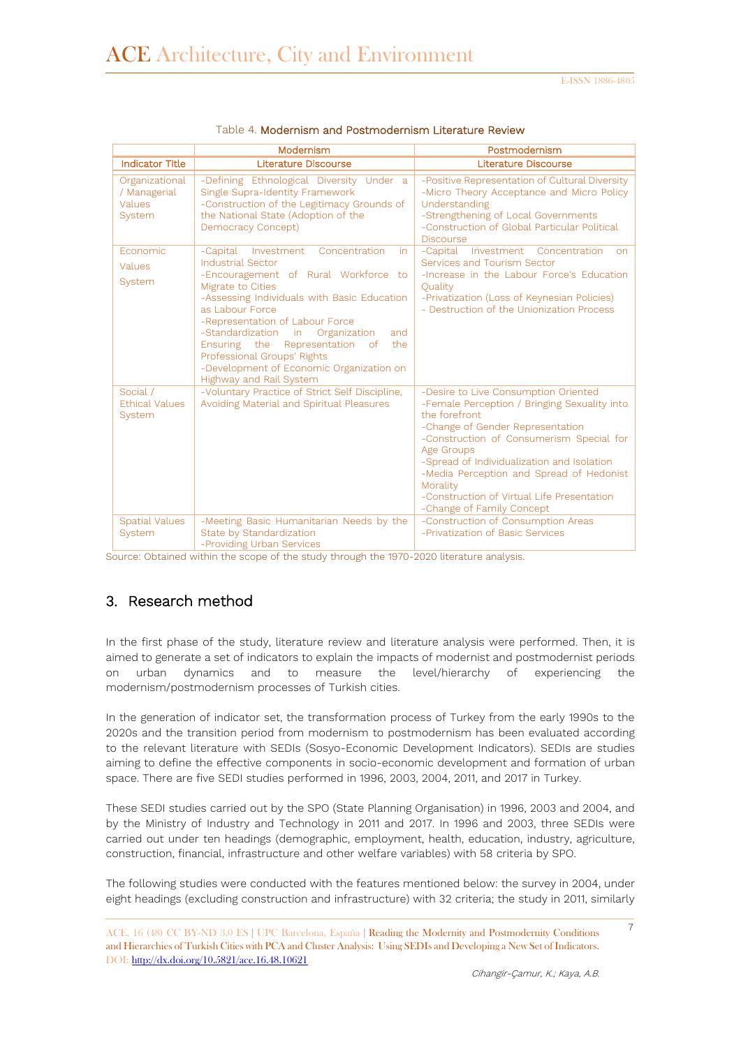|                                                    | Modernism                                                                                                                                                                                                                                                                                                                                                                                                                      | Postmodernism                                                                                                                                                                                                                                                                                                                                                                        |
|----------------------------------------------------|--------------------------------------------------------------------------------------------------------------------------------------------------------------------------------------------------------------------------------------------------------------------------------------------------------------------------------------------------------------------------------------------------------------------------------|--------------------------------------------------------------------------------------------------------------------------------------------------------------------------------------------------------------------------------------------------------------------------------------------------------------------------------------------------------------------------------------|
| <b>Indicator Title</b>                             | <b>Literature Discourse</b>                                                                                                                                                                                                                                                                                                                                                                                                    | <b>Literature Discourse</b>                                                                                                                                                                                                                                                                                                                                                          |
| Organizational<br>/ Managerial<br>Values<br>System | -Defining Ethnological Diversity Under a<br>Single Supra-Identity Framework<br>-Construction of the Legitimacy Grounds of<br>the National State (Adoption of the<br>Democracy Concept)                                                                                                                                                                                                                                         | -Positive Representation of Cultural Diversity<br>-Micro Theory Acceptance and Micro Policy<br>Understanding<br>-Strengthening of Local Governments<br>-Construction of Global Particular Political<br><b>Discourse</b>                                                                                                                                                              |
| Fconomic<br>Values<br>System                       | -Capital Investment<br>Concentration<br>in<br>Industrial Sector<br>-Encouragement of Rural Workforce to<br>Migrate to Cities<br>-Assessing Individuals with Basic Education<br>as Labour Force<br>-Representation of Labour Force<br>-Standardization in<br>Organization<br>and<br>the<br>Ensuring the Representation of<br>Professional Groups' Rights<br>-Development of Economic Organization on<br>Highway and Rail System | -Capital Investment Concentration<br><b>on</b><br>Services and Tourism Sector<br>-Increase in the Labour Force's Education<br>Ouality<br>-Privatization (Loss of Keynesian Policies)<br>- Destruction of the Unionization Process                                                                                                                                                    |
| Social /<br><b>Ethical Values</b><br>System        | -Voluntary Practice of Strict Self Discipline,<br>Avoiding Material and Spiritual Pleasures                                                                                                                                                                                                                                                                                                                                    | -Desire to Live Consumption Oriented<br>-Female Perception / Bringing Sexuality into<br>the forefront<br>-Change of Gender Representation<br>-Construction of Consumerism Special for<br>Age Groups<br>-Spread of Individualization and Isolation<br>-Media Perception and Spread of Hedonist<br>Morality<br>-Construction of Virtual Life Presentation<br>-Change of Family Concept |
| <b>Spatial Values</b><br>System                    | -Meeting Basic Humanitarian Needs by the<br>State by Standardization<br>-Providing Urban Services                                                                                                                                                                                                                                                                                                                              | -Construction of Consumption Areas<br>-Privatization of Basic Services                                                                                                                                                                                                                                                                                                               |

#### Table 4. Modernism and Postmodernism Literature Review

Source: Obtained within the scope of the study through the 1970-2020 literature analysis.

### 3. Research method

In the first phase of the study, literature review and literature analysis were performed. Then, it is aimed to generate a set of indicators to explain the impacts of modernist and postmodernist periods on urban dynamics and to measure the level/hierarchy of experiencing the modernism/postmodernism processes of Turkish cities.

In the generation of indicator set, the transformation process of Turkey from the early 1990s to the 2020s and the transition period from modernism to postmodernism has been evaluated according to the relevant literature with SEDIs (Sosyo-Economic Development Indicators). SEDIs are studies aiming to define the effective components in socio-economic development and formation of urban space. There are five SEDI studies performed in 1996, 2003, 2004, 2011, and 2017 in Turkey.

These SEDI studies carried out by the SPO (State Planning Organisation) in 1996, 2003 and 2004, and by the Ministry of Industry and Technology in 2011 and 2017. In 1996 and 2003, three SEDIs were carried out under ten headings (demographic, employment, health, education, industry, agriculture, construction, financial, infrastructure and other welfare variables) with 58 criteria by SPO.

The following studies were conducted with the features mentioned below: the survey in 2004, under eight headings (excluding construction and infrastructure) with 32 criteria; the study in 2011, similarly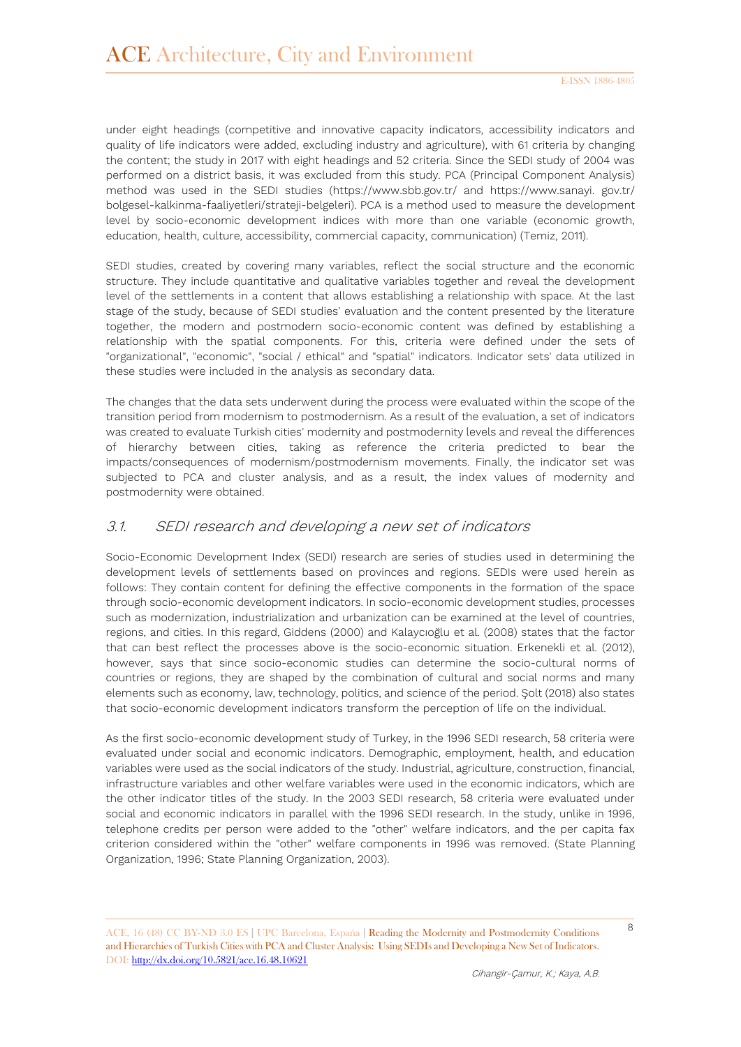under eight headings (competitive and innovative capacity indicators, accessibility indicators and quality of life indicators were added, excluding industry and agriculture), with 61 criteria by changing the content; the study in 2017 with eight headings and 52 criteria. Since the SEDI study of 2004 was performed on a district basis, it was excluded from this study. PCA (Principal Component Analysis) method was used in the SEDI studies (https://www.sbb.gov.tr/ and https://www.sanayi. gov.tr/ bolgesel-kalkinma-faaliyetleri/strateji-belgeleri). PCA is a method used to measure the development level by socio-economic development indices with more than one variable (economic growth, education, health, culture, accessibility, commercial capacity, communication) (Temiz, 2011).

SEDI studies, created by covering many variables, reflect the social structure and the economic structure. They include quantitative and qualitative variables together and reveal the development level of the settlements in a content that allows establishing a relationship with space. At the last stage of the study, because of SEDI studies' evaluation and the content presented by the literature together, the modern and postmodern socio-economic content was defined by establishing a relationship with the spatial components. For this, criteria were defined under the sets of "organizational", "economic", "social / ethical" and "spatial" indicators. Indicator sets' data utilized in these studies were included in the analysis as secondary data.

The changes that the data sets underwent during the process were evaluated within the scope of the transition period from modernism to postmodernism. As a result of the evaluation, a set of indicators was created to evaluate Turkish cities' modernity and postmodernity levels and reveal the differences of hierarchy between cities, taking as reference the criteria predicted to bear the impacts/consequences of modernism/postmodernism movements. Finally, the indicator set was subjected to PCA and cluster analysis, and as a result, the index values of modernity and postmodernity were obtained.

## 3.1. SEDI research and developing a new set of indicators

Socio-Economic Development Index (SEDI) research are series of studies used in determining the development levels of settlements based on provinces and regions. SEDIs were used herein as follows: They contain content for defining the effective components in the formation of the space through socio-economic development indicators. In socio-economic development studies, processes such as modernization, industrialization and urbanization can be examined at the level of countries, regions, and cities. In this regard, Giddens (2000) and Kalaycıoğlu et al. (2008) states that the factor that can best reflect the processes above is the socio-economic situation. Erkenekli et al. (2012), however, says that since socio-economic studies can determine the socio-cultural norms of countries or regions, they are shaped by the combination of cultural and social norms and many elements such as economy, law, technology, politics, and science of the period. Şolt (2018) also states that socio-economic development indicators transform the perception of life on the individual.

As the first socio-economic development study of Turkey, in the 1996 SEDI research, 58 criteria were evaluated under social and economic indicators. Demographic, employment, health, and education variables were used as the social indicators of the study. Industrial, agriculture, construction, financial, infrastructure variables and other welfare variables were used in the economic indicators, which are the other indicator titles of the study. In the 2003 SEDI research, 58 criteria were evaluated under social and economic indicators in parallel with the 1996 SEDI research. In the study, unlike in 1996, telephone credits per person were added to the "other" welfare indicators, and the per capita fax criterion considered within the "other" welfare components in 1996 was removed. (State Planning Organization, 1996; State Planning Organization, 2003).

ACE, 16 (48) CC BY-ND 3.0 ES **|** UPC Barcelona, España **|** Reading the Modernity and Postmodernity Conditions and Hierarchies of Turkish Cities with PCA and Cluster Analysis: Using SEDIs and Developing a New Set of Indicators. DOI:<http://dx.doi.org/10.5821/ace.16.48.10621>

8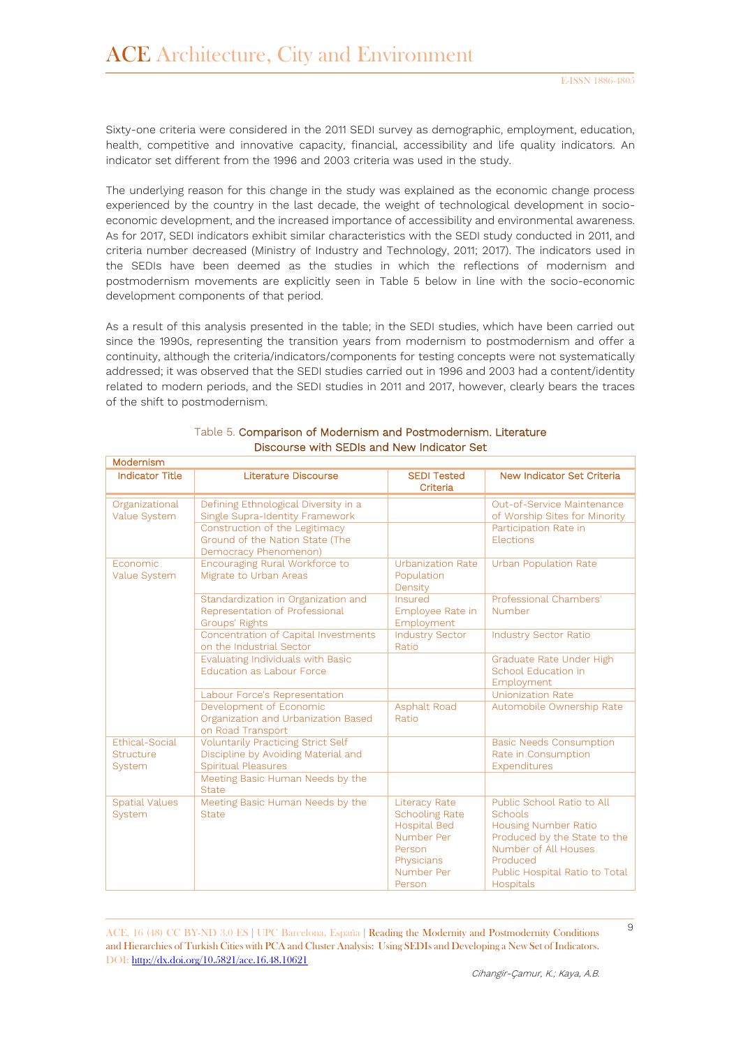Sixty-one criteria were considered in the 2011 SEDI survey as demographic, employment, education, health, competitive and innovative capacity, financial, accessibility and life quality indicators. An indicator set different from the 1996 and 2003 criteria was used in the study.

The underlying reason for this change in the study was explained as the economic change process experienced by the country in the last decade, the weight of technological development in socioeconomic development, and the increased importance of accessibility and environmental awareness. As for 2017, SEDI indicators exhibit similar characteristics with the SEDI study conducted in 2011, and criteria number decreased (Ministry of Industry and Technology, 2011; 2017). The indicators used in the SEDIs have been deemed as the studies in which the reflections of modernism and postmodernism movements are explicitly seen in Table 5 below in line with the socio-economic development components of that period.

As a result of this analysis presented in the table; in the SEDI studies, which have been carried out since the 1990s, representing the transition years from modernism to postmodernism and offer a continuity, although the criteria/indicators/components for testing concepts were not systematically addressed; it was observed that the SEDI studies carried out in 1996 and 2003 had a content/identity related to modern periods, and the SEDI studies in 2011 and 2017, however, clearly bears the traces of the shift to postmodernism.

| Modernism                                    |                                                                                                                |                                                                                                                                    |                                                                                                                                                                                                |
|----------------------------------------------|----------------------------------------------------------------------------------------------------------------|------------------------------------------------------------------------------------------------------------------------------------|------------------------------------------------------------------------------------------------------------------------------------------------------------------------------------------------|
| <b>Indicator Title</b>                       | <b>Literature Discourse</b>                                                                                    | <b>SEDI Tested</b><br>Criteria                                                                                                     | New Indicator Set Criteria                                                                                                                                                                     |
| Organizational<br>Value System               | Defining Ethnological Diversity in a<br>Single Supra-Identity Framework                                        |                                                                                                                                    | Out-of-Service Maintenance<br>of Worship Sites for Minority                                                                                                                                    |
|                                              | Construction of the Legitimacy<br>Ground of the Nation State (The<br>Democracy Phenomenon)                     |                                                                                                                                    | Participation Rate in<br><b>Flections</b>                                                                                                                                                      |
| <b>Fconomic</b><br>Value System              | Encouraging Rural Workforce to<br>Migrate to Urban Areas                                                       | <b>Urbanization Rate</b><br>Population<br>Density                                                                                  | <b>Urban Population Rate</b>                                                                                                                                                                   |
|                                              | Standardization in Organization and<br>Representation of Professional<br><b>Groups' Rights</b>                 | Insured<br>Employee Rate in<br>Employment                                                                                          | Professional Chambers'<br>Number                                                                                                                                                               |
|                                              | Concentration of Capital Investments<br>on the Industrial Sector                                               | <b>Industry Sector</b><br>Ratio                                                                                                    | <b>Industry Sector Ratio</b>                                                                                                                                                                   |
|                                              | Evaluating Individuals with Basic<br><b>Education as Labour Force</b>                                          |                                                                                                                                    | Graduate Rate Under High<br>School Education in<br>Employment                                                                                                                                  |
|                                              | Labour Force's Representation                                                                                  |                                                                                                                                    | <b>Unionization Rate</b>                                                                                                                                                                       |
|                                              | Development of Economic<br>Organization and Urbanization Based<br>on Road Transport                            | <b>Asphalt Road</b><br>Ratio                                                                                                       | Automobile Ownership Rate                                                                                                                                                                      |
| <b>Ethical-Social</b><br>Structure<br>System | <b>Voluntarily Practicing Strict Self</b><br>Discipline by Avoiding Material and<br><b>Spiritual Pleasures</b> |                                                                                                                                    | <b>Basic Needs Consumption</b><br>Rate in Consumption<br>Expenditures                                                                                                                          |
|                                              | Meeting Basic Human Needs by the<br><b>State</b>                                                               |                                                                                                                                    |                                                                                                                                                                                                |
| <b>Spatial Values</b><br>System              | Meeting Basic Human Needs by the<br><b>State</b>                                                               | <b>Literacy Rate</b><br><b>Schooling Rate</b><br><b>Hospital Bed</b><br>Number Per<br>Person<br>Physicians<br>Number Per<br>Person | Public School Ratio to All<br>Schools<br><b>Housing Number Ratio</b><br>Produced by the State to the<br>Number of All Houses<br>Produced<br>Public Hospital Ratio to Total<br><b>Hospitals</b> |

#### Table 5. Comparison of Modernism and Postmodernism. Literature Discourse with SEDIs and New Indicator Set

ACE, 16 (48) CC BY-ND 3.0 ES **|** UPC Barcelona, España **|** Reading the Modernity and Postmodernity Conditions and Hierarchies of Turkish Cities with PCA and Cluster Analysis: Using SEDIs and Developing a New Set of Indicators. DOI:<http://dx.doi.org/10.5821/ace.16.48.10621>

9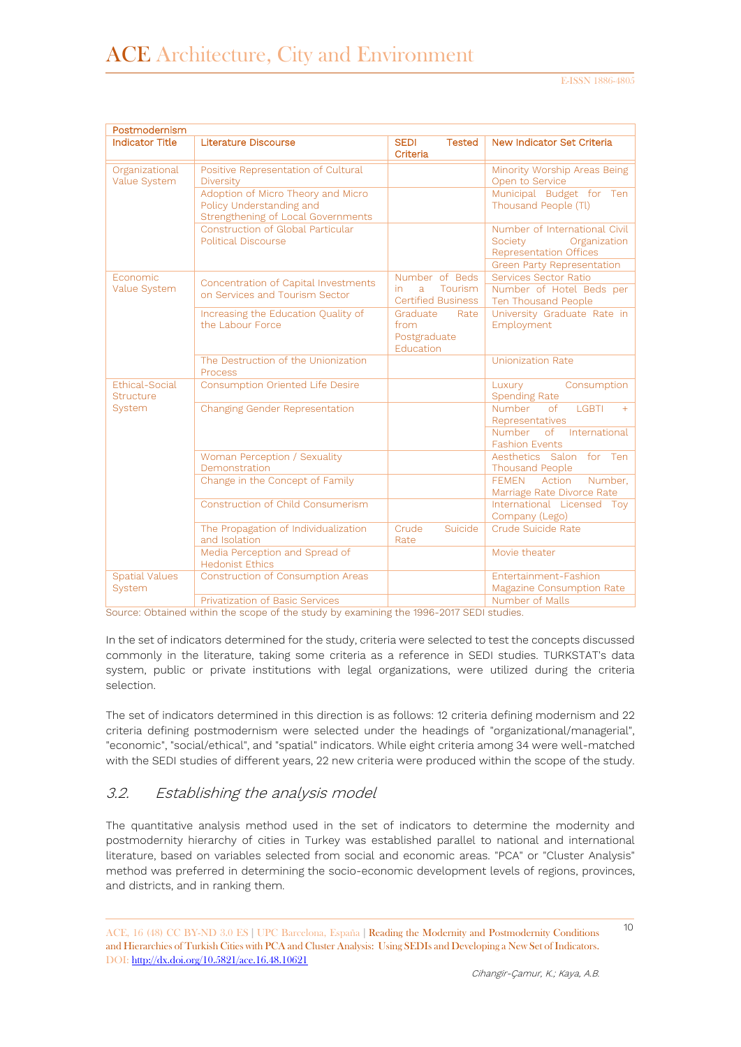| Postmodernism                      |                                                                                                             |                                                       |                                                                                                                         |
|------------------------------------|-------------------------------------------------------------------------------------------------------------|-------------------------------------------------------|-------------------------------------------------------------------------------------------------------------------------|
| <b>Indicator Title</b>             | Literature Discourse                                                                                        | <b>SEDI</b><br><b>Tested</b><br>Criteria              | New Indicator Set Criteria                                                                                              |
| Organizational<br>Value System     | Positive Representation of Cultural<br><b>Diversity</b>                                                     |                                                       | Minority Worship Areas Being<br>Open to Service                                                                         |
|                                    | Adoption of Micro Theory and Micro<br>Policy Understanding and<br><b>Strengthening of Local Governments</b> |                                                       | Municipal Budget for Ten<br>Thousand People (Tl)                                                                        |
|                                    | Construction of Global Particular<br><b>Political Discourse</b>                                             |                                                       | Number of International Civil<br>Society<br>Organization<br><b>Representation Offices</b><br>Green Party Representation |
| <b>Fconomic</b>                    |                                                                                                             | Number of Beds                                        | Services Sector Ratio                                                                                                   |
| Value System                       | Concentration of Capital Investments<br>on Services and Tourism Sector                                      | a<br>Tourism<br>in.<br><b>Certified Business</b>      | Number of Hotel Beds per<br>Ten Thousand People                                                                         |
|                                    | Increasing the Education Quality of<br>the Labour Force                                                     | Graduate<br>Rate<br>from<br>Postgraduate<br>Education | University Graduate Rate in<br>Employment                                                                               |
|                                    | The Destruction of the Unionization<br><b>Process</b>                                                       |                                                       | <b>Unionization Rate</b>                                                                                                |
| Ethical-Social<br><b>Structure</b> | <b>Consumption Oriented Life Desire</b>                                                                     |                                                       | Consumption<br>Luxury<br><b>Spending Rate</b>                                                                           |
| System                             | Changing Gender Representation                                                                              |                                                       | <b>Number</b><br>$\circ$ f<br><b>LGBTI</b><br>$+$<br>Representatives                                                    |
|                                    |                                                                                                             |                                                       | of International<br>Number<br><b>Fashion Events</b>                                                                     |
|                                    | Woman Perception / Sexuality<br>Demonstration                                                               |                                                       | Aesthetics Salon for Ten<br><b>Thousand People</b>                                                                      |
|                                    | Change in the Concept of Family                                                                             |                                                       | Action<br>Number.<br><b>FFMFN</b><br>Marriage Rate Divorce Rate                                                         |
|                                    | Construction of Child Consumerism                                                                           |                                                       | International Licensed Toy<br>Company (Lego)                                                                            |
|                                    | The Propagation of Individualization<br>and Isolation                                                       | Crude<br>Suicide<br>Rate                              | Crude Suicide Rate                                                                                                      |
|                                    | Media Perception and Spread of<br><b>Hedonist Ethics</b>                                                    |                                                       | Movie theater                                                                                                           |
| <b>Spatial Values</b><br>System    | <b>Construction of Consumption Areas</b>                                                                    |                                                       | Entertainment-Fashion<br>Magazine Consumption Rate                                                                      |
|                                    | <b>Privatization of Basic Services</b>                                                                      |                                                       | Number of Malls                                                                                                         |

Source: Obtained within the scope of the study by examining the 1996-2017 SEDI studies.

In the set of indicators determined for the study, criteria were selected to test the concepts discussed commonly in the literature, taking some criteria as a reference in SEDI studies. TURKSTAT's data system, public or private institutions with legal organizations, were utilized during the criteria selection.

The set of indicators determined in this direction is as follows: 12 criteria defining modernism and 22 criteria defining postmodernism were selected under the headings of "organizational/managerial", "economic", "social/ethical", and "spatial" indicators. While eight criteria among 34 were well-matched with the SEDI studies of different years, 22 new criteria were produced within the scope of the study.

### 3.2. Establishing the analysis model

The quantitative analysis method used in the set of indicators to determine the modernity and postmodernity hierarchy of cities in Turkey was established parallel to national and international literature, based on variables selected from social and economic areas. "PCA" or "Cluster Analysis" method was preferred in determining the socio-economic development levels of regions, provinces, and districts, and in ranking them.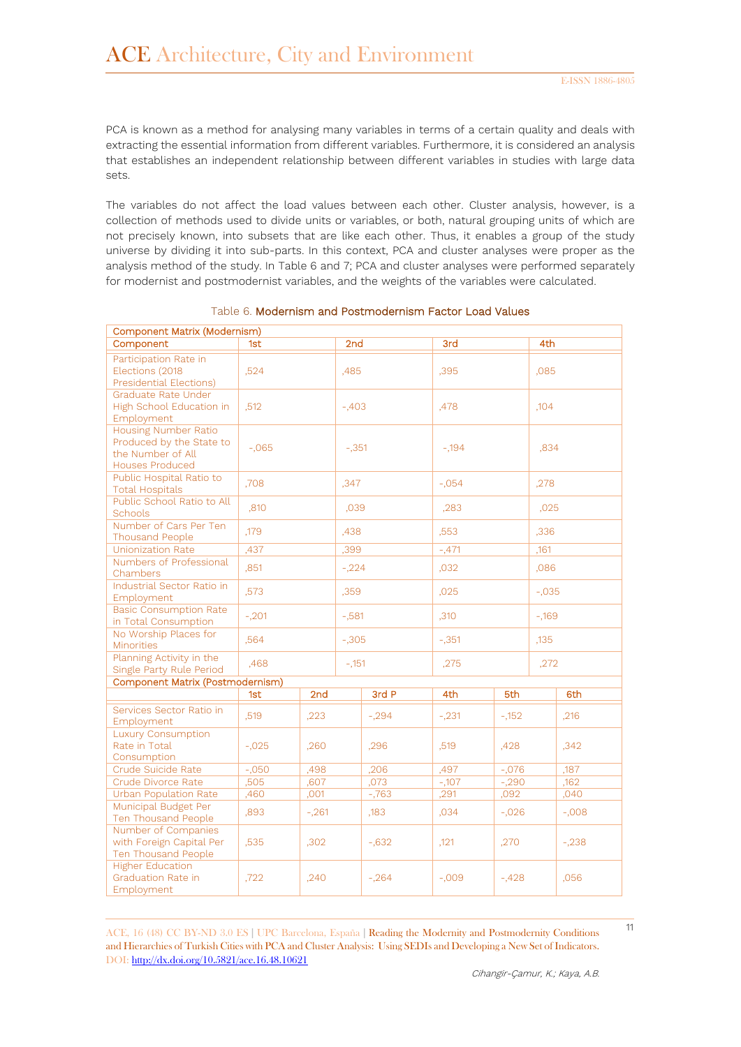PCA is known as a method for analysing many variables in terms of a certain quality and deals with extracting the essential information from different variables. Furthermore, it is considered an analysis that establishes an independent relationship between different variables in studies with large data sets.

The variables do not affect the load values between each other. Cluster analysis, however, is a collection of methods used to divide units or variables, or both, natural grouping units of which are not precisely known, into subsets that are like each other. Thus, it enables a group of the study universe by dividing it into sub-parts. In this context, PCA and cluster analyses were proper as the analysis method of the study. In Table 6 and 7; PCA and cluster analyses were performed separately for modernist and postmodernist variables, and the weights of the variables were calculated.

| Component Matrix (Modernism)                                                                           |          |         |         |          |         |         |      |          |  |
|--------------------------------------------------------------------------------------------------------|----------|---------|---------|----------|---------|---------|------|----------|--|
| Component                                                                                              | 1st      |         | 2nd     |          | 3rd     |         | 4th  |          |  |
| Participation Rate in<br>Elections (2018<br>Presidential Elections)                                    | .524     |         | ,485    |          | .395    |         |      | .085     |  |
| Graduate Rate Under<br>High School Education in<br>Employment                                          | ,512     |         | $-.403$ |          | ,478    |         |      | ,104     |  |
| <b>Housing Number Ratio</b><br>Produced by the State to<br>the Number of All<br><b>Houses Produced</b> | $-.065$  |         | $-.351$ |          | $-.194$ |         |      | .834     |  |
| Public Hospital Ratio to<br><b>Total Hospitals</b>                                                     | .708     |         | ,347    |          | $-.054$ |         |      | ,278     |  |
| Public School Ratio to All<br><b>Schools</b>                                                           | ,810     |         | ,039    |          | ,283    |         | ,025 |          |  |
| Number of Cars Per Ten<br><b>Thousand People</b>                                                       | ,179     |         | .438    |          | .553    |         | .336 |          |  |
| <b>Unionization Rate</b>                                                                               | ,437     |         | .399    |          | $-.471$ |         |      | ,161     |  |
| Numbers of Professional<br>Chambers                                                                    | .851     |         | $-.224$ |          | ,032    |         |      | ,086     |  |
| Industrial Sector Ratio in<br>Employment                                                               | ,573     |         | .359    |          | .025    |         |      | $-.035$  |  |
| <b>Basic Consumption Rate</b><br>in Total Consumption                                                  | $-.201$  |         | $-581$  |          | ,310    |         |      | $-169$   |  |
| No Worship Places for<br><b>Minorities</b>                                                             | .564     |         | $-.305$ |          | $-.351$ |         |      |          |  |
| Planning Activity in the<br>Single Party Rule Period                                                   | ,468     |         | $-151$  |          | .275    |         |      | ,272     |  |
| Component Matrix (Postmodernism)                                                                       |          |         |         |          |         |         |      |          |  |
|                                                                                                        | 1st      | 2nd     |         | 3rd P    | 4th     | 5th     |      | 6th      |  |
| Services Sector Ratio in<br>Employment                                                                 | ,519     | ,223    |         | $-.294$  | $-.231$ | $-152$  |      | ,216     |  |
| <b>Luxury Consumption</b><br>Rate in Total<br>Consumption                                              | $-.025$  | .260    |         | .296     | .519    | .428    |      | .342     |  |
| Crude Suicide Rate                                                                                     | $-0.050$ | ,498    |         | ,206     | ,497    | $-.076$ |      | ,187     |  |
| Crude Divorce Rate                                                                                     | ,505     | .607    |         | .073     | $-107$  | $-290$  |      | .162     |  |
| <b>Urban Population Rate</b>                                                                           | .460     | ,001    |         | $-763$   | ,291    | .092    |      | .040     |  |
| Municipal Budget Per<br>Ten Thousand People                                                            | .893     | $-.261$ |         | ,183     | .034    | $-.026$ |      | $-0.008$ |  |
| Number of Companies<br>with Foreign Capital Per<br>Ten Thousand People                                 | ,535     | ,302    |         | $-0.632$ | ,121    | ,270    |      | $-.238$  |  |
| <b>Higher Education</b><br><b>Graduation Rate in</b><br>Employment                                     | ,722     | ,240    |         | $-.264$  | $-0.09$ | $-.428$ |      | ,056     |  |

#### Table 6. Modernism and Postmodernism Factor Load Values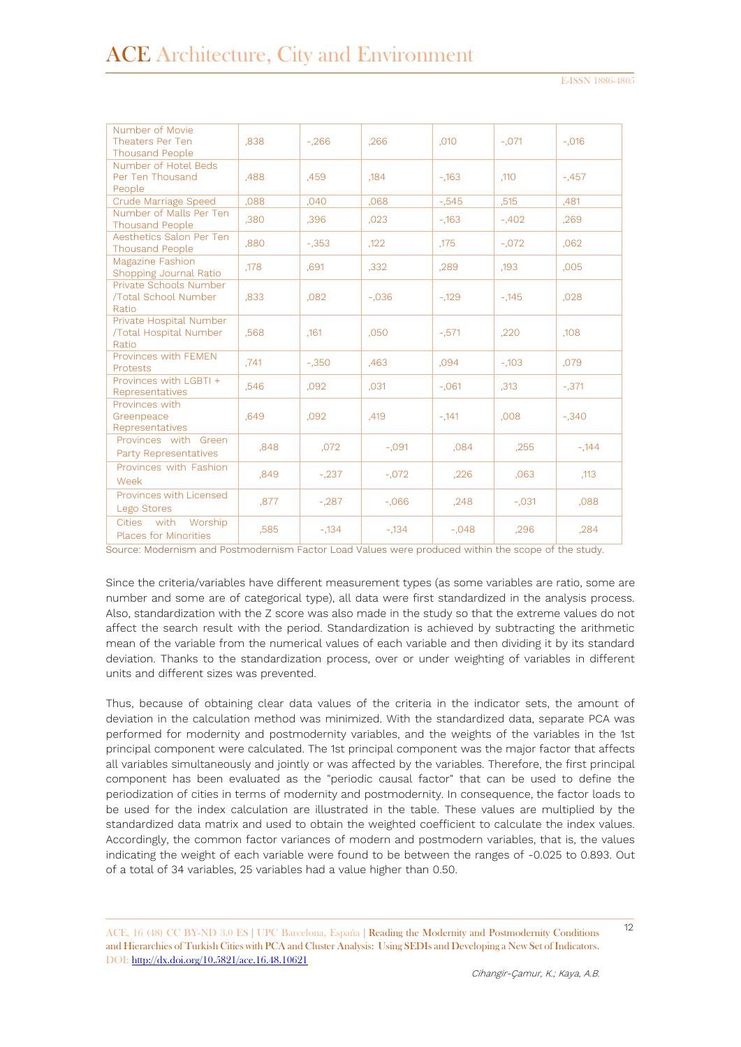| Number of Movie<br>Theaters Per Ten<br><b>Thousand People</b> | .838 | $-.266$ | .266     | ,010     | $-.071$ | $-.016$ |
|---------------------------------------------------------------|------|---------|----------|----------|---------|---------|
| Number of Hotel Beds<br>Per Ten Thousand<br>People            | .488 | .459    | ,184     | $-.163$  | ,110    | $-.457$ |
| Crude Marriage Speed                                          | .088 | ,040    | .068     | $-0.545$ | ,515    | .481    |
| Number of Malls Per Ten<br><b>Thousand People</b>             | .380 | ,396    | ,023     | $-163$   | $-.402$ | .269    |
| Aesthetics Salon Per Ten<br><b>Thousand People</b>            | .880 | $-.353$ | ,122     | ,175     | $-.072$ | .062    |
| Magazine Fashion<br>Shopping Journal Ratio                    | ,178 | .691    | ,332     | .289     | ,193    | .005    |
| Private Schools Number<br>/Total School Number<br>Ratio       | .833 | ,082    | $-.036$  | $-129$   | $-145$  | ,028    |
| Private Hospital Number<br>/Total Hospital Number<br>Ratio    | .568 | ,161    | ,050     | $-571$   | .220    | ,108    |
| Provinces with FEMEN<br>Protests                              | .741 | $-.350$ | .463     | .094     | $-.103$ | .079    |
| Provinces with I GBTI +<br>Representatives                    | .546 | ,092    | ,031     | $-.061$  | ,313    | $-.371$ |
| Provinces with<br>Greenpeace<br>Representatives               | .649 | .092    | ,419     | $-.141$  | .008    | $-.340$ |
| Provinces with Green<br><b>Party Representatives</b>          | .848 | ,072    | $-.091$  | .084     | .255    | $-144$  |
| Provinces with Fashion<br>Week                                | ,849 | $-.237$ | $-.072$  | ,226     | ,063    | ,113    |
| Provinces with Licensed<br>Lego Stores                        | ,877 | $-.287$ | $-0.066$ | .248     | $-.031$ | .088    |
| with<br>Worship<br><b>Cities</b><br>Places for Minorities     | .585 | $-.134$ | $-.134$  | $-.048$  | .296    | .284    |

Source: Modernism and Postmodernism Factor Load Values were produced within the scope of the study.

Since the criteria/variables have different measurement types (as some variables are ratio, some are number and some are of categorical type), all data were first standardized in the analysis process. Also, standardization with the Z score was also made in the study so that the extreme values do not affect the search result with the period. Standardization is achieved by subtracting the arithmetic mean of the variable from the numerical values of each variable and then dividing it by its standard deviation. Thanks to the standardization process, over or under weighting of variables in different units and different sizes was prevented.

Thus, because of obtaining clear data values of the criteria in the indicator sets, the amount of deviation in the calculation method was minimized. With the standardized data, separate PCA was performed for modernity and postmodernity variables, and the weights of the variables in the 1st principal component were calculated. The 1st principal component was the major factor that affects all variables simultaneously and jointly or was affected by the variables. Therefore, the first principal component has been evaluated as the "periodic causal factor" that can be used to define the periodization of cities in terms of modernity and postmodernity. In consequence, the factor loads to be used for the index calculation are illustrated in the table. These values are multiplied by the standardized data matrix and used to obtain the weighted coefficient to calculate the index values. Accordingly, the common factor variances of modern and postmodern variables, that is, the values indicating the weight of each variable were found to be between the ranges of -0.025 to 0.893. Out of a total of 34 variables, 25 variables had a value higher than 0.50.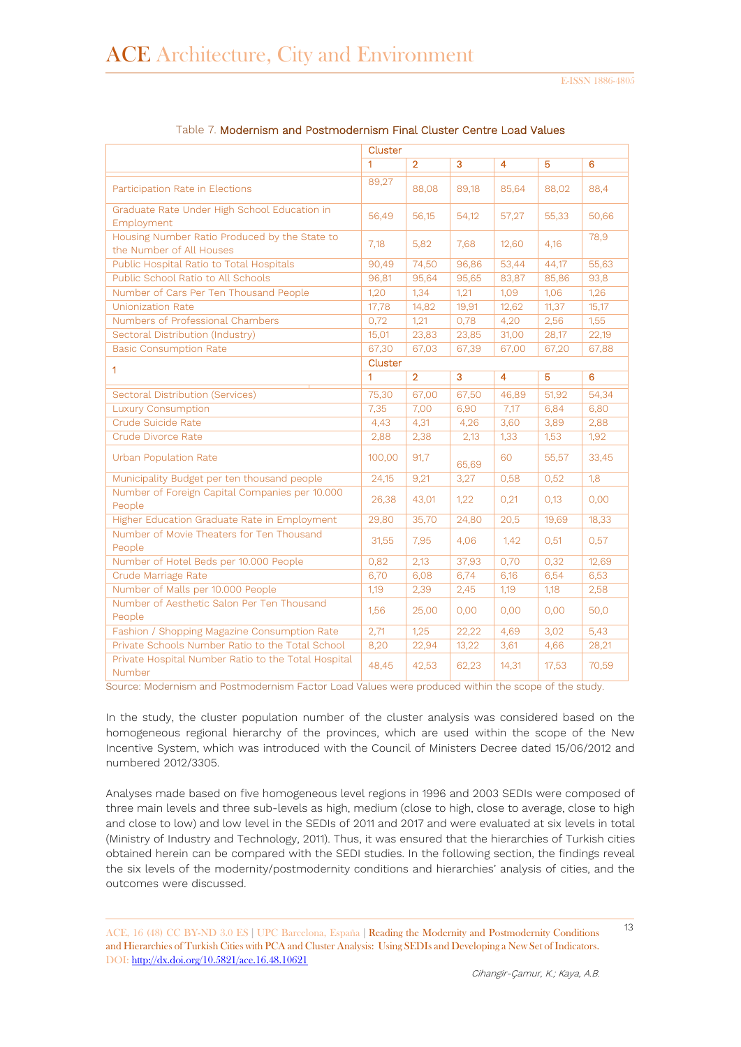|                                                                           | Cluster      |                |       |                |       |       |
|---------------------------------------------------------------------------|--------------|----------------|-------|----------------|-------|-------|
|                                                                           | $\mathbf{1}$ | $\overline{2}$ | 3     | $\overline{4}$ | 5     | 6     |
| Participation Rate in Elections                                           | 89,27        | 88,08          | 89,18 | 85,64          | 88,02 | 88,4  |
| Graduate Rate Under High School Education in<br>Employment                | 56,49        | 56,15          | 54,12 | 57,27          | 55,33 | 50,66 |
| Housing Number Ratio Produced by the State to<br>the Number of All Houses | 7,18         | 5,82           | 7,68  | 12,60          | 4,16  | 78,9  |
| Public Hospital Ratio to Total Hospitals                                  | 90,49        | 74,50          | 96,86 | 53,44          | 44,17 | 55,63 |
| Public School Ratio to All Schools                                        | 96,81        | 95,64          | 95,65 | 83,87          | 85,86 | 93,8  |
| Number of Cars Per Ten Thousand People                                    | 1,20         | 1,34           | 1,21  | 1,09           | 1,06  | 1,26  |
| <b>Unionization Rate</b>                                                  | 17,78        | 14,82          | 19,91 | 12,62          | 11,37 | 15,17 |
| Numbers of Professional Chambers                                          | 0,72         | 1,21           | 0,78  | 4,20           | 2,56  | 1,55  |
| Sectoral Distribution (Industry)                                          | 15,01        | 23,83          | 23,85 | 31,00          | 28,17 | 22,19 |
| <b>Basic Consumption Rate</b>                                             | 67,30        | 67,03          | 67,39 | 67,00          | 67,20 | 67,88 |
| 1                                                                         | Cluster      |                |       |                |       |       |
|                                                                           | 1            | $\overline{2}$ | 3     | $\overline{4}$ | 5     | 6     |
| <b>Sectoral Distribution (Services)</b>                                   | 75,30        | 67,00          | 67,50 | 46,89          | 51,92 | 54,34 |
| <b>Luxury Consumption</b>                                                 | 7,35         | 7,00           | 6,90  | 7,17           | 6,84  | 6,80  |
| Crude Suicide Rate                                                        | 4,43         | 4,31           | 4,26  | 3,60           | 3,89  | 2,88  |
| Crude Divorce Rate                                                        | 2,88         | 2,38           | 2,13  | 1,33           | 1,53  | 1,92  |
| <b>Urban Population Rate</b>                                              | 100,00       | 91,7           | 65,69 | 60             | 55,57 | 33,45 |
| Municipality Budget per ten thousand people                               | 24,15        | 9,21           | 3,27  | 0,58           | 0,52  | 1,8   |
| Number of Foreign Capital Companies per 10.000<br>People                  | 26,38        | 43,01          | 1,22  | 0,21           | 0,13  | 0,00  |
| Higher Education Graduate Rate in Employment                              | 29,80        | 35,70          | 24,80 | 20,5           | 19,69 | 18,33 |
| Number of Movie Theaters for Ten Thousand<br>People                       | 31,55        | 7,95           | 4,06  | 1,42           | 0,51  | 0,57  |
| Number of Hotel Beds per 10.000 People                                    | 0,82         | 2,13           | 37,93 | 0,70           | 0,32  | 12,69 |
| Crude Marriage Rate                                                       | 6,70         | 6,08           | 6,74  | 6,16           | 6,54  | 6,53  |
| Number of Malls per 10.000 People                                         | 1,19         | 2,39           | 2,45  | 1,19           | 1,18  | 2,58  |
| Number of Aesthetic Salon Per Ten Thousand<br>People                      | 1,56         | 25,00          | 0,00  | 0,00           | 0,00  | 50,0  |
| Fashion / Shopping Magazine Consumption Rate                              | 2,71         | 1,25           | 22,22 | 4,69           | 3,02  | 5,43  |
| Private Schools Number Ratio to the Total School                          | 8,20         | 22,94          | 13,22 | 3,61           | 4,66  | 28,21 |
| Private Hospital Number Ratio to the Total Hospital<br>Number             | 48,45        | 42,53          | 62,23 | 14,31          | 17,53 | 70,59 |

#### Table 7. Modernism and Postmodernism Final Cluster Centre Load Values

Source: Modernism and Postmodernism Factor Load Values were produced within the scope of the study.

In the study, the cluster population number of the cluster analysis was considered based on the homogeneous regional hierarchy of the provinces, which are used within the scope of the New Incentive System, which was introduced with the Council of Ministers Decree dated 15/06/2012 and numbered 2012/3305.

Analyses made based on five homogeneous level regions in 1996 and 2003 SEDIs were composed of three main levels and three sub-levels as high, medium (close to high, close to average, close to high and close to low) and low level in the SEDIs of 2011 and 2017 and were evaluated at six levels in total (Ministry of Industry and Technology, 2011). Thus, it was ensured that the hierarchies of Turkish cities obtained herein can be compared with the SEDI studies. In the following section, the findings reveal the six levels of the modernity/postmodernity conditions and hierarchies' analysis of cities, and the outcomes were discussed.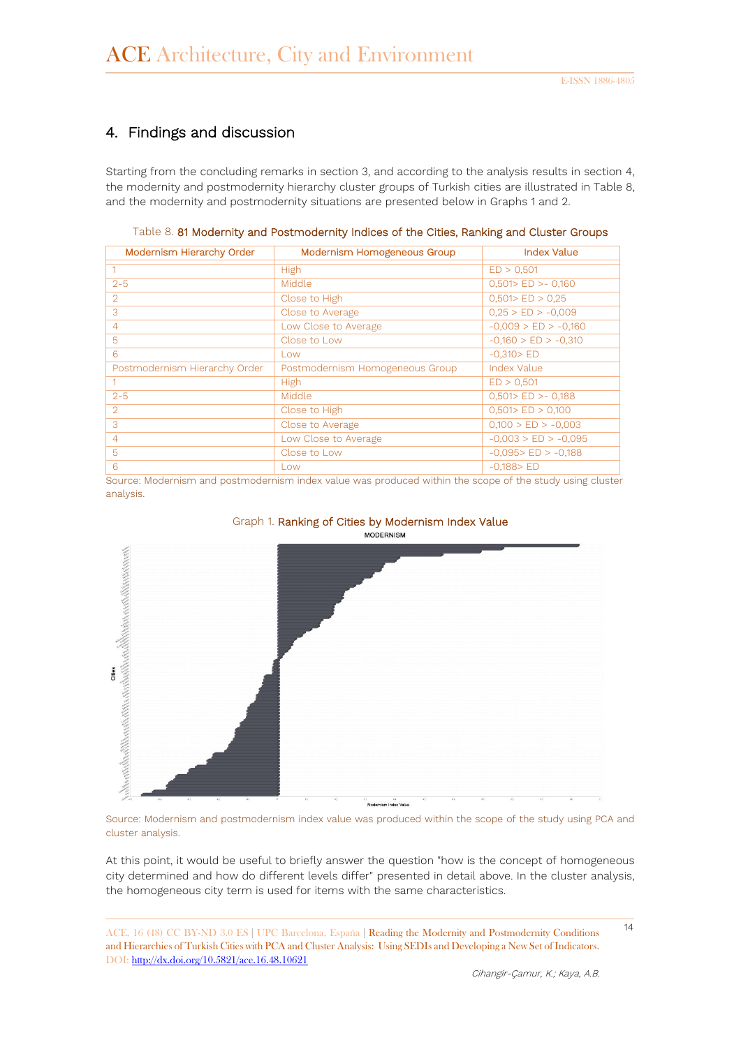## 4. Findings and discussion

Starting from the concluding remarks in section 3, and according to the analysis results in section 4, the modernity and postmodernity hierarchy cluster groups of Turkish cities are illustrated in Table 8, and the modernity and postmodernity situations are presented below in Graphs 1 and 2.

| Modernism Hierarchy Order     | Modernism Homogeneous Group     | <b>Index Value</b>       |
|-------------------------------|---------------------------------|--------------------------|
|                               | High                            | ED > 0,501               |
| $2 - 5$                       | Middle                          | $0,501>$ ED $>$ - 0,160  |
| $\overline{2}$                | Close to High                   | 0,501 > ED > 0,25        |
| 3                             | Close to Average                | $0,25 > ED > -0,009$     |
| $\overline{4}$                | Low Close to Average            | $-0.009$ > ED > $-0.160$ |
| 5                             | Close to Low                    | $-0,160$ > ED > $-0,310$ |
| 6                             | l ow                            | $-0.310 > ED$            |
| Postmodernism Hierarchy Order | Postmodernism Homogeneous Group | Index Value              |
|                               | <b>High</b>                     | ED > 0,501               |
| $2 - 5$                       | Middle                          | $0,501>$ ED $>$ - 0,188  |
| $\mathcal{D}$                 | Close to High                   | $0,501>$ ED $> 0,100$    |
| 3                             | Close to Average                | $0,100 > ED > -0,003$    |
| 4                             | Low Close to Average            | $-0,003$ > ED > $-0,095$ |
| 5                             | Close to Low                    | $-0.095 > ED > -0.188$   |
| 6                             | I ow                            | $-0.188 > ED$            |

Table 8. 81 Modernity and Postmodernity Indices of the Cities, Ranking and Cluster Groups

Source: Modernism and postmodernism index value was produced within the scope of the study using cluster analysis.



Graph 1. Ranking of Cities by Modernism Index Value

Source: Modernism and postmodernism index value was produced within the scope of the study using PCA and cluster analysis.

At this point, it would be useful to briefly answer the question "how is the concept of homogeneous city determined and how do different levels differ" presented in detail above. In the cluster analysis, the homogeneous city term is used for items with the same characteristics.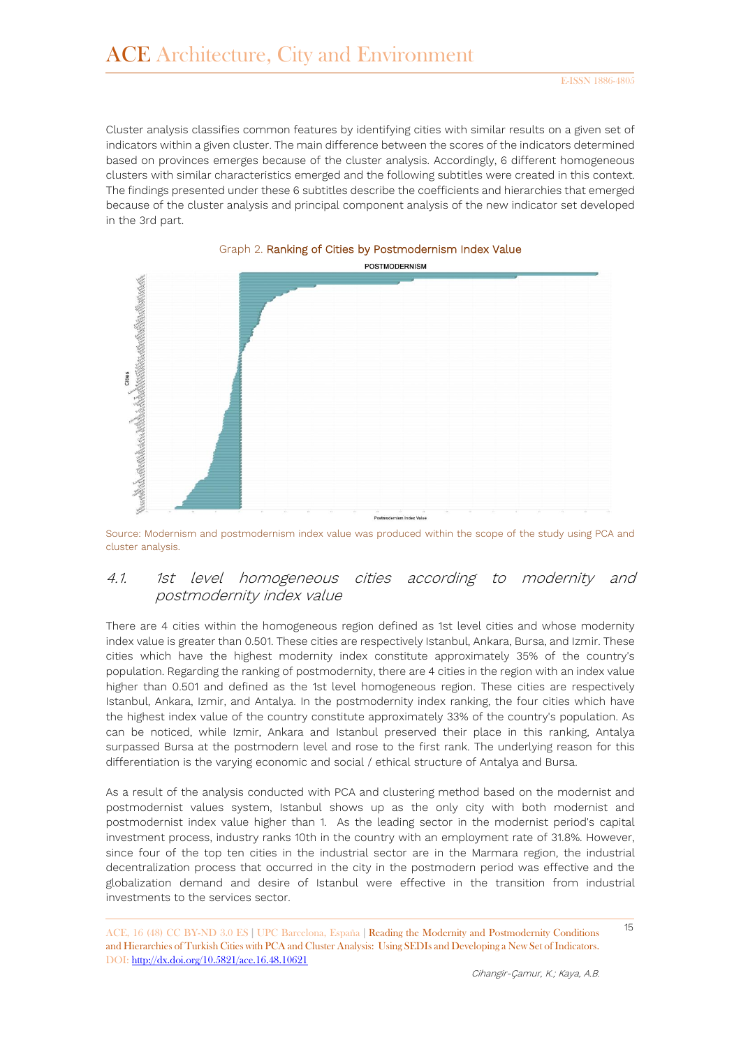Cluster analysis classifies common features by identifying cities with similar results on a given set of indicators within a given cluster. The main difference between the scores of the indicators determined based on provinces emerges because of the cluster analysis. Accordingly, 6 different homogeneous clusters with similar characteristics emerged and the following subtitles were created in this context. The findings presented under these 6 subtitles describe the coefficients and hierarchies that emerged because of the cluster analysis and principal component analysis of the new indicator set developed in the 3rd part.





Source: Modernism and postmodernism index value was produced within the scope of the study using PCA and cluster analysis.

### 4.1. 1st level homogeneous cities according to modernity and postmodernity index value

There are 4 cities within the homogeneous region defined as 1st level cities and whose modernity index value is greater than 0.501. These cities are respectively Istanbul, Ankara, Bursa, and Izmir. These cities which have the highest modernity index constitute approximately 35% of the country's population. Regarding the ranking of postmodernity, there are 4 cities in the region with an index value higher than 0.501 and defined as the 1st level homogeneous region. These cities are respectively Istanbul, Ankara, Izmir, and Antalya. In the postmodernity index ranking, the four cities which have the highest index value of the country constitute approximately 33% of the country's population. As can be noticed, while Izmir, Ankara and Istanbul preserved their place in this ranking, Antalya surpassed Bursa at the postmodern level and rose to the first rank. The underlying reason for this differentiation is the varying economic and social / ethical structure of Antalya and Bursa.

As a result of the analysis conducted with PCA and clustering method based on the modernist and postmodernist values system, Istanbul shows up as the only city with both modernist and postmodernist index value higher than 1. As the leading sector in the modernist period's capital investment process, industry ranks 10th in the country with an employment rate of 31.8%. However, since four of the top ten cities in the industrial sector are in the Marmara region, the industrial decentralization process that occurred in the city in the postmodern period was effective and the globalization demand and desire of Istanbul were effective in the transition from industrial investments to the services sector.

<sup>15</sup> ACE, 16 (48) CC BY-ND 3.0 ES **<sup>|</sup>**UPC Barcelona, España **<sup>|</sup>** Reading the Modernity and Postmodernity Conditions and Hierarchies of Turkish Cities with PCA and Cluster Analysis: Using SEDIs and Developing a New Set of Indicators. DOI:<http://dx.doi.org/10.5821/ace.16.48.10621>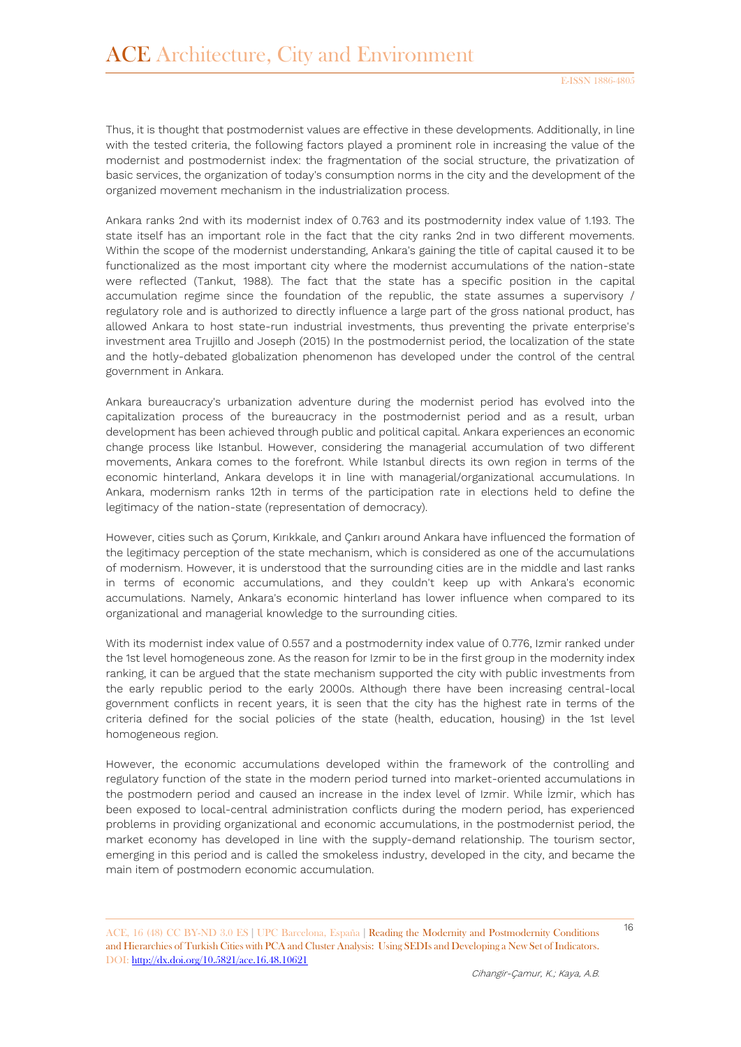Thus, it is thought that postmodernist values are effective in these developments. Additionally, in line with the tested criteria, the following factors played a prominent role in increasing the value of the modernist and postmodernist index: the fragmentation of the social structure, the privatization of basic services, the organization of today's consumption norms in the city and the development of the organized movement mechanism in the industrialization process.

Ankara ranks 2nd with its modernist index of 0.763 and its postmodernity index value of 1.193. The state itself has an important role in the fact that the city ranks 2nd in two different movements. Within the scope of the modernist understanding, Ankara's gaining the title of capital caused it to be functionalized as the most important city where the modernist accumulations of the nation-state were reflected (Tankut, 1988). The fact that the state has a specific position in the capital accumulation regime since the foundation of the republic, the state assumes a supervisory / regulatory role and is authorized to directly influence a large part of the gross national product, has allowed Ankara to host state-run industrial investments, thus preventing the private enterprise's investment area Trujillo and Joseph (2015) In the postmodernist period, the localization of the state and the hotly-debated globalization phenomenon has developed under the control of the central government in Ankara.

Ankara bureaucracy's urbanization adventure during the modernist period has evolved into the capitalization process of the bureaucracy in the postmodernist period and as a result, urban development has been achieved through public and political capital. Ankara experiences an economic change process like Istanbul. However, considering the managerial accumulation of two different movements, Ankara comes to the forefront. While Istanbul directs its own region in terms of the economic hinterland, Ankara develops it in line with managerial/organizational accumulations. In Ankara, modernism ranks 12th in terms of the participation rate in elections held to define the legitimacy of the nation-state (representation of democracy).

However, cities such as Çorum, Kırıkkale, and Çankırı around Ankara have influenced the formation of the legitimacy perception of the state mechanism, which is considered as one of the accumulations of modernism. However, it is understood that the surrounding cities are in the middle and last ranks in terms of economic accumulations, and they couldn't keep up with Ankara's economic accumulations. Namely, Ankara's economic hinterland has lower influence when compared to its organizational and managerial knowledge to the surrounding cities.

With its modernist index value of 0.557 and a postmodernity index value of 0.776, Izmir ranked under the 1st level homogeneous zone. As the reason for Izmir to be in the first group in the modernity index ranking, it can be argued that the state mechanism supported the city with public investments from the early republic period to the early 2000s. Although there have been increasing central-local government conflicts in recent years, it is seen that the city has the highest rate in terms of the criteria defined for the social policies of the state (health, education, housing) in the 1st level homogeneous region.

However, the economic accumulations developed within the framework of the controlling and regulatory function of the state in the modern period turned into market-oriented accumulations in the postmodern period and caused an increase in the index level of Izmir. While İzmir, which has been exposed to local-central administration conflicts during the modern period, has experienced problems in providing organizational and economic accumulations, in the postmodernist period, the market economy has developed in line with the supply-demand relationship. The tourism sector, emerging in this period and is called the smokeless industry, developed in the city, and became the main item of postmodern economic accumulation.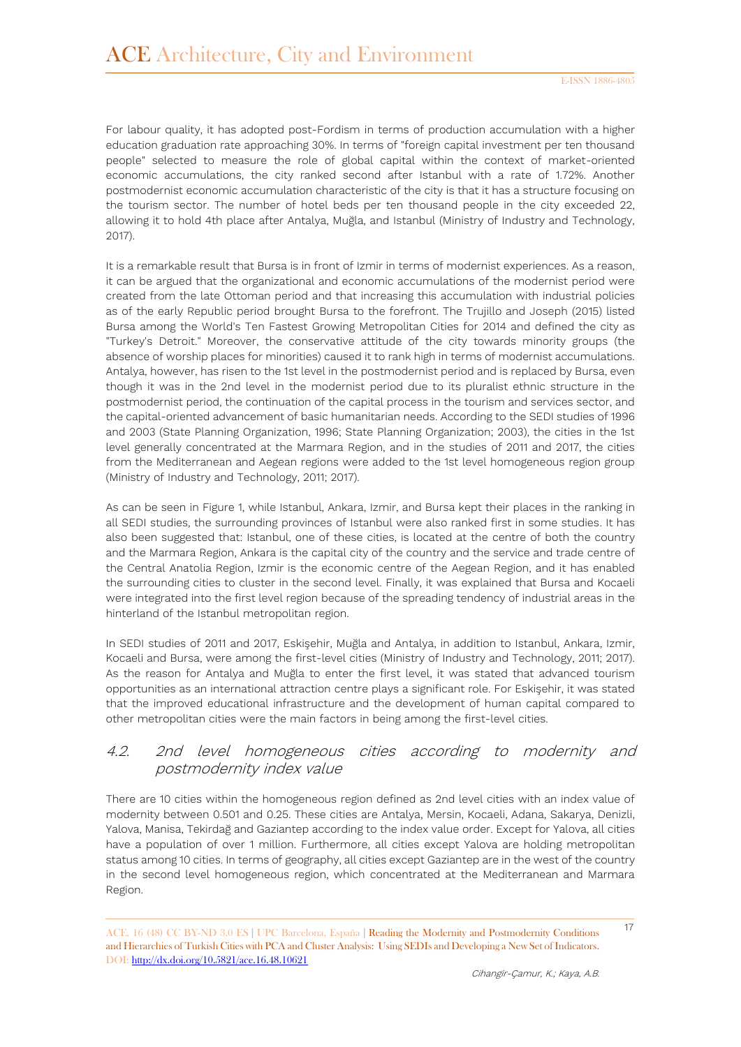For labour quality, it has adopted post-Fordism in terms of production accumulation with a higher education graduation rate approaching 30%. In terms of "foreign capital investment per ten thousand people" selected to measure the role of global capital within the context of market-oriented economic accumulations, the city ranked second after Istanbul with a rate of 1.72%. Another postmodernist economic accumulation characteristic of the city is that it has a structure focusing on the tourism sector. The number of hotel beds per ten thousand people in the city exceeded 22, allowing it to hold 4th place after Antalya, Muğla, and Istanbul (Ministry of Industry and Technology, 2017).

It is a remarkable result that Bursa is in front of Izmir in terms of modernist experiences. As a reason, it can be argued that the organizational and economic accumulations of the modernist period were created from the late Ottoman period and that increasing this accumulation with industrial policies as of the early Republic period brought Bursa to the forefront. The Trujillo and Joseph (2015) listed Bursa among the World's Ten Fastest Growing Metropolitan Cities for 2014 and defined the city as "Turkey's Detroit." Moreover, the conservative attitude of the city towards minority groups (the absence of worship places for minorities) caused it to rank high in terms of modernist accumulations. Antalya, however, has risen to the 1st level in the postmodernist period and is replaced by Bursa, even though it was in the 2nd level in the modernist period due to its pluralist ethnic structure in the postmodernist period, the continuation of the capital process in the tourism and services sector, and the capital-oriented advancement of basic humanitarian needs. According to the SEDI studies of 1996 and 2003 (State Planning Organization, 1996; State Planning Organization; 2003), the cities in the 1st level generally concentrated at the Marmara Region, and in the studies of 2011 and 2017, the cities from the Mediterranean and Aegean regions were added to the 1st level homogeneous region group (Ministry of Industry and Technology, 2011; 2017).

As can be seen in Figure 1, while Istanbul, Ankara, Izmir, and Bursa kept their places in the ranking in all SEDI studies, the surrounding provinces of Istanbul were also ranked first in some studies. It has also been suggested that: Istanbul, one of these cities, is located at the centre of both the country and the Marmara Region, Ankara is the capital city of the country and the service and trade centre of the Central Anatolia Region, Izmir is the economic centre of the Aegean Region, and it has enabled the surrounding cities to cluster in the second level. Finally, it was explained that Bursa and Kocaeli were integrated into the first level region because of the spreading tendency of industrial areas in the hinterland of the Istanbul metropolitan region.

In SEDI studies of 2011 and 2017, Eskişehir, Muğla and Antalya, in addition to Istanbul, Ankara, Izmir, Kocaeli and Bursa, were among the first-level cities (Ministry of Industry and Technology, 2011; 2017). As the reason for Antalya and Muğla to enter the first level, it was stated that advanced tourism opportunities as an international attraction centre plays a significant role. For Eskişehir, it was stated that the improved educational infrastructure and the development of human capital compared to other metropolitan cities were the main factors in being among the first-level cities.

### 4.2. 2nd level homogeneous cities according to modernity and postmodernity index value

There are 10 cities within the homogeneous region defined as 2nd level cities with an index value of modernity between 0.501 and 0.25. These cities are Antalya, Mersin, Kocaeli, Adana, Sakarya, Denizli, Yalova, Manisa, Tekirdağ and Gaziantep according to the index value order. Except for Yalova, all cities have a population of over 1 million. Furthermore, all cities except Yalova are holding metropolitan status among 10 cities. In terms of geography, all cities except Gaziantep are in the west of the country in the second level homogeneous region, which concentrated at the Mediterranean and Marmara Region.

<sup>17</sup> ACE, 16 (48) CC BY-ND 3.0 ES **<sup>|</sup>**UPC Barcelona, España **<sup>|</sup>** Reading the Modernity and Postmodernity Conditions and Hierarchies of Turkish Cities with PCA and Cluster Analysis: Using SEDIs and Developing a New Set of Indicators. DOI:<http://dx.doi.org/10.5821/ace.16.48.10621>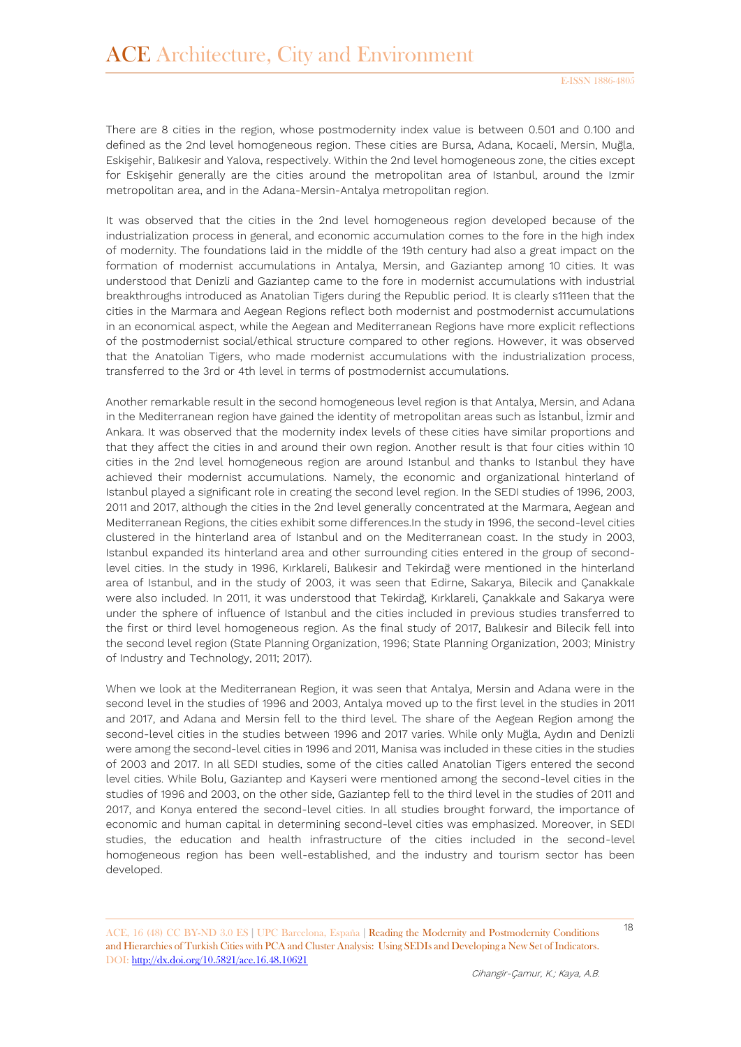There are 8 cities in the region, whose postmodernity index value is between 0.501 and 0.100 and defined as the 2nd level homogeneous region. These cities are Bursa, Adana, Kocaeli, Mersin, Muğla, Eskişehir, Balıkesir and Yalova, respectively. Within the 2nd level homogeneous zone, the cities except for Eskişehir generally are the cities around the metropolitan area of Istanbul, around the Izmir metropolitan area, and in the Adana-Mersin-Antalya metropolitan region.

It was observed that the cities in the 2nd level homogeneous region developed because of the industrialization process in general, and economic accumulation comes to the fore in the high index of modernity. The foundations laid in the middle of the 19th century had also a great impact on the formation of modernist accumulations in Antalya, Mersin, and Gaziantep among 10 cities. It was understood that Denizli and Gaziantep came to the fore in modernist accumulations with industrial breakthroughs introduced as Anatolian Tigers during the Republic period. It is clearly s111een that the cities in the Marmara and Aegean Regions reflect both modernist and postmodernist accumulations in an economical aspect, while the Aegean and Mediterranean Regions have more explicit reflections of the postmodernist social/ethical structure compared to other regions. However, it was observed that the Anatolian Tigers, who made modernist accumulations with the industrialization process, transferred to the 3rd or 4th level in terms of postmodernist accumulations.

Another remarkable result in the second homogeneous level region is that Antalya, Mersin, and Adana in the Mediterranean region have gained the identity of metropolitan areas such as İstanbul, İzmir and Ankara. It was observed that the modernity index levels of these cities have similar proportions and that they affect the cities in and around their own region. Another result is that four cities within 10 cities in the 2nd level homogeneous region are around Istanbul and thanks to Istanbul they have achieved their modernist accumulations. Namely, the economic and organizational hinterland of Istanbul played a significant role in creating the second level region. In the SEDI studies of 1996, 2003, 2011 and 2017, although the cities in the 2nd level generally concentrated at the Marmara, Aegean and Mediterranean Regions, the cities exhibit some differences.In the study in 1996, the second-level cities clustered in the hinterland area of Istanbul and on the Mediterranean coast. In the study in 2003, Istanbul expanded its hinterland area and other surrounding cities entered in the group of secondlevel cities. In the study in 1996, Kırklareli, Balıkesir and Tekirdağ were mentioned in the hinterland area of Istanbul, and in the study of 2003, it was seen that Edirne, Sakarya, Bilecik and Çanakkale were also included. In 2011, it was understood that Tekirdağ, Kırklareli, Çanakkale and Sakarya were under the sphere of influence of Istanbul and the cities included in previous studies transferred to the first or third level homogeneous region. As the final study of 2017, Balıkesir and Bilecik fell into the second level region (State Planning Organization, 1996; State Planning Organization, 2003; Ministry of Industry and Technology, 2011; 2017).

When we look at the Mediterranean Region, it was seen that Antalya, Mersin and Adana were in the second level in the studies of 1996 and 2003, Antalya moved up to the first level in the studies in 2011 and 2017, and Adana and Mersin fell to the third level. The share of the Aegean Region among the second-level cities in the studies between 1996 and 2017 varies. While only Muğla, Aydın and Denizli were among the second-level cities in 1996 and 2011, Manisa was included in these cities in the studies of 2003 and 2017. In all SEDI studies, some of the cities called Anatolian Tigers entered the second level cities. While Bolu, Gaziantep and Kayseri were mentioned among the second-level cities in the studies of 1996 and 2003, on the other side, Gaziantep fell to the third level in the studies of 2011 and 2017, and Konya entered the second-level cities. In all studies brought forward, the importance of economic and human capital in determining second-level cities was emphasized. Moreover, in SEDI studies, the education and health infrastructure of the cities included in the second-level homogeneous region has been well-established, and the industry and tourism sector has been developed.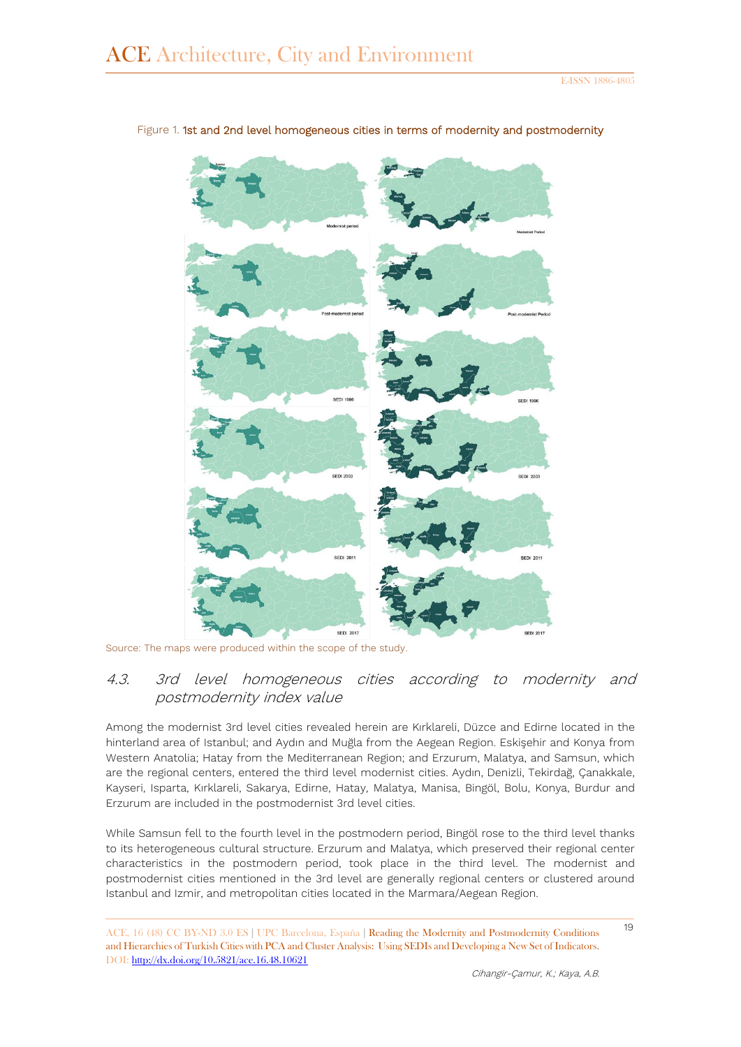

Figure 1. 1st and 2nd level homogeneous cities in terms of modernity and postmodernity

Source: The maps were produced within the scope of the study.

# 4.3. 3rd level homogeneous cities according to modernity and postmodernity index value

Among the modernist 3rd level cities revealed herein are Kırklareli, Düzce and Edirne located in the hinterland area of Istanbul; and Aydın and Muğla from the Aegean Region. Eskişehir and Konya from Western Anatolia; Hatay from the Mediterranean Region; and Erzurum, Malatya, and Samsun, which are the regional centers, entered the third level modernist cities. Aydın, Denizli, Tekirdağ, Çanakkale, Kayseri, Isparta, Kırklareli, Sakarya, Edirne, Hatay, Malatya, Manisa, Bingöl, Bolu, Konya, Burdur and Erzurum are included in the postmodernist 3rd level cities.

While Samsun fell to the fourth level in the postmodern period, Bingöl rose to the third level thanks to its heterogeneous cultural structure. Erzurum and Malatya, which preserved their regional center characteristics in the postmodern period, took place in the third level. The modernist and postmodernist cities mentioned in the 3rd level are generally regional centers or clustered around Istanbul and Izmir, and metropolitan cities located in the Marmara/Aegean Region.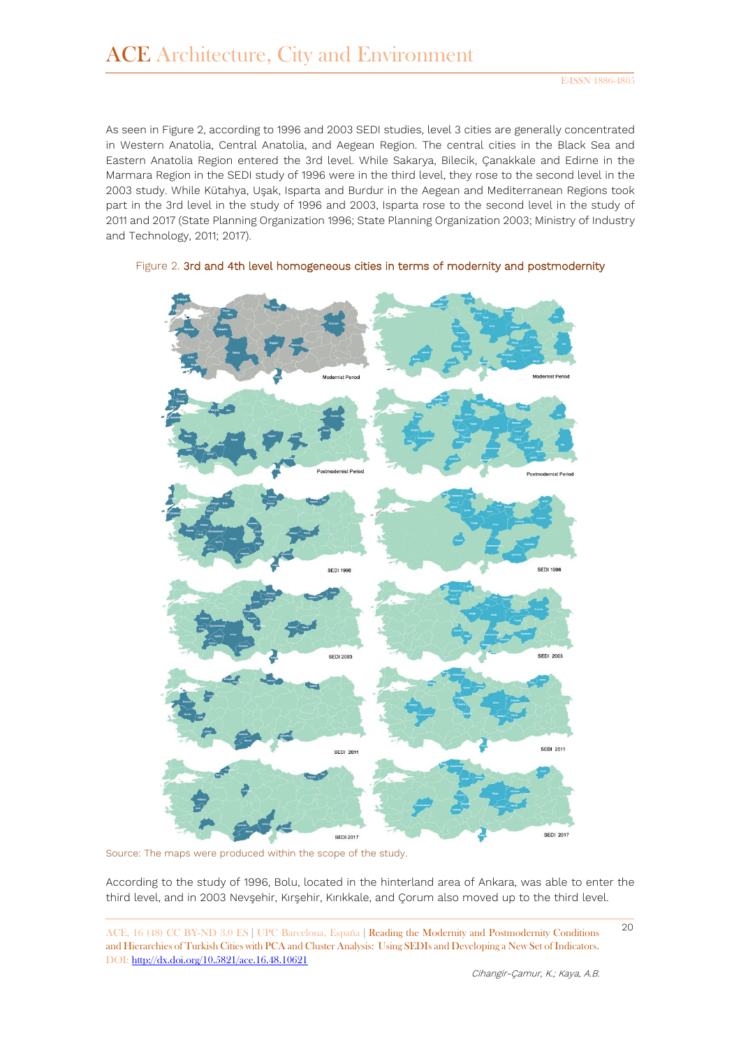As seen in Figure 2, according to 1996 and 2003 SEDI studies, level 3 cities are generally concentrated in Western Anatolia, Central Anatolia, and Aegean Region. The central cities in the Black Sea and Eastern Anatolia Region entered the 3rd level. While Sakarya, Bilecik, Çanakkale and Edirne in the Marmara Region in the SEDI study of 1996 were in the third level, they rose to the second level in the 2003 study. While Kütahya, Uşak, Isparta and Burdur in the Aegean and Mediterranean Regions took part in the 3rd level in the study of 1996 and 2003, Isparta rose to the second level in the study of 2011 and 2017 (State Planning Organization 1996; State Planning Organization 2003; Ministry of Industry and Technology, 2011; 2017).



#### Figure 2. 3rd and 4th level homogeneous cities in terms of modernity and postmodernity

Source: The maps were produced within the scope of the study.

According to the study of 1996, Bolu, located in the hinterland area of Ankara, was able to enter the third level, and in 2003 Nevşehir, Kırşehir, Kırıkkale, and Çorum also moved up to the third level.

<sup>20</sup> ACE, 16 (48) CC BY-ND 3.0 ES **<sup>|</sup>**UPC Barcelona, España **<sup>|</sup>** Reading the Modernity and Postmodernity Conditions and Hierarchies of Turkish Cities with PCA and Cluster Analysis: Using SEDIs and Developing a New Set of Indicators. DOI:<http://dx.doi.org/10.5821/ace.16.48.10621>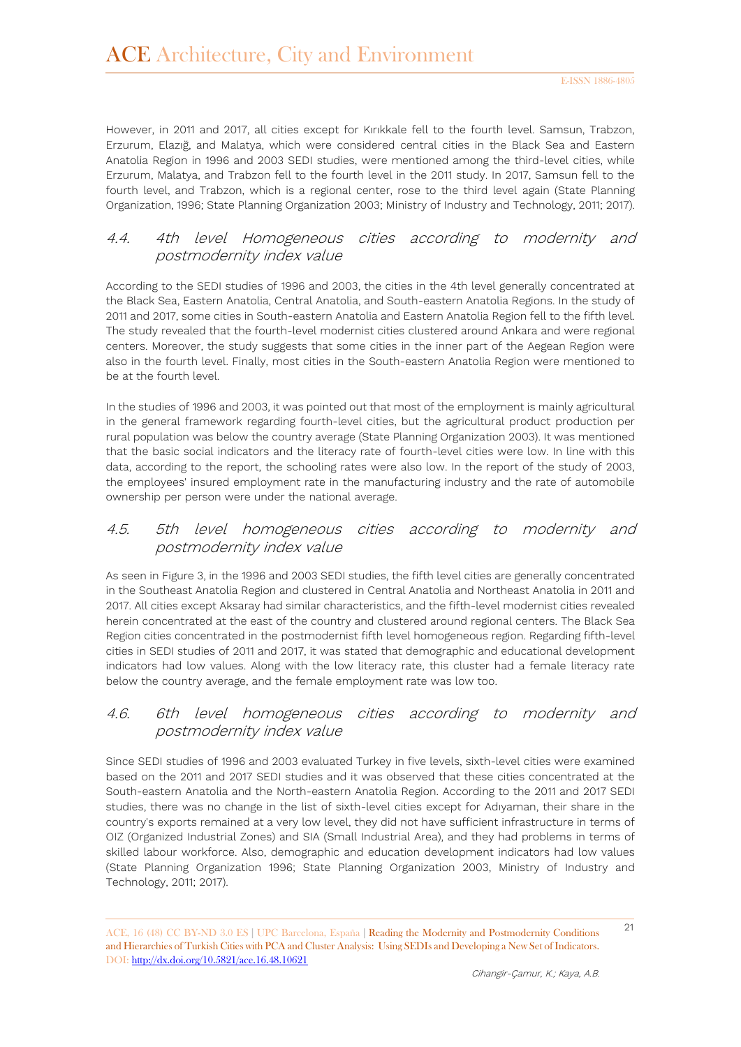However, in 2011 and 2017, all cities except for Kırıkkale fell to the fourth level. Samsun, Trabzon, Erzurum, Elazığ, and Malatya, which were considered central cities in the Black Sea and Eastern Anatolia Region in 1996 and 2003 SEDI studies, were mentioned among the third-level cities, while Erzurum, Malatya, and Trabzon fell to the fourth level in the 2011 study. In 2017, Samsun fell to the fourth level, and Trabzon, which is a regional center, rose to the third level again (State Planning Organization, 1996; State Planning Organization 2003; Ministry of Industry and Technology, 2011; 2017).

### 4.4. 4th level Homogeneous cities according to modernity and postmodernity index value

According to the SEDI studies of 1996 and 2003, the cities in the 4th level generally concentrated at the Black Sea, Eastern Anatolia, Central Anatolia, and South-eastern Anatolia Regions. In the study of 2011 and 2017, some cities in South-eastern Anatolia and Eastern Anatolia Region fell to the fifth level. The study revealed that the fourth-level modernist cities clustered around Ankara and were regional centers. Moreover, the study suggests that some cities in the inner part of the Aegean Region were also in the fourth level. Finally, most cities in the South-eastern Anatolia Region were mentioned to be at the fourth level.

In the studies of 1996 and 2003, it was pointed out that most of the employment is mainly agricultural in the general framework regarding fourth-level cities, but the agricultural product production per rural population was below the country average (State Planning Organization 2003). It was mentioned that the basic social indicators and the literacy rate of fourth-level cities were low. In line with this data, according to the report, the schooling rates were also low. In the report of the study of 2003, the employees' insured employment rate in the manufacturing industry and the rate of automobile ownership per person were under the national average.

# 4.5. 5th level homogeneous cities according to modernity and postmodernity index value

As seen in Figure 3, in the 1996 and 2003 SEDI studies, the fifth level cities are generally concentrated in the Southeast Anatolia Region and clustered in Central Anatolia and Northeast Anatolia in 2011 and 2017. All cities except Aksaray had similar characteristics, and the fifth-level modernist cities revealed herein concentrated at the east of the country and clustered around regional centers. The Black Sea Region cities concentrated in the postmodernist fifth level homogeneous region. Regarding fifth-level cities in SEDI studies of 2011 and 2017, it was stated that demographic and educational development indicators had low values. Along with the low literacy rate, this cluster had a female literacy rate below the country average, and the female employment rate was low too.

# 4.6. 6th level homogeneous cities according to modernity and postmodernity index value

Since SEDI studies of 1996 and 2003 evaluated Turkey in five levels, sixth-level cities were examined based on the 2011 and 2017 SEDI studies and it was observed that these cities concentrated at the South-eastern Anatolia and the North-eastern Anatolia Region. According to the 2011 and 2017 SEDI studies, there was no change in the list of sixth-level cities except for Adıyaman, their share in the country's exports remained at a very low level, they did not have sufficient infrastructure in terms of OIZ (Organized Industrial Zones) and SIA (Small Industrial Area), and they had problems in terms of skilled labour workforce. Also, demographic and education development indicators had low values (State Planning Organization 1996; State Planning Organization 2003, Ministry of Industry and Technology, 2011; 2017).

<sup>21</sup> ACE, 16 (48) CC BY-ND 3.0 ES **<sup>|</sup>**UPC Barcelona, España **<sup>|</sup>** Reading the Modernity and Postmodernity Conditions and Hierarchies of Turkish Cities with PCA and Cluster Analysis: Using SEDIs and Developing a New Set of Indicators. DOI:<http://dx.doi.org/10.5821/ace.16.48.10621>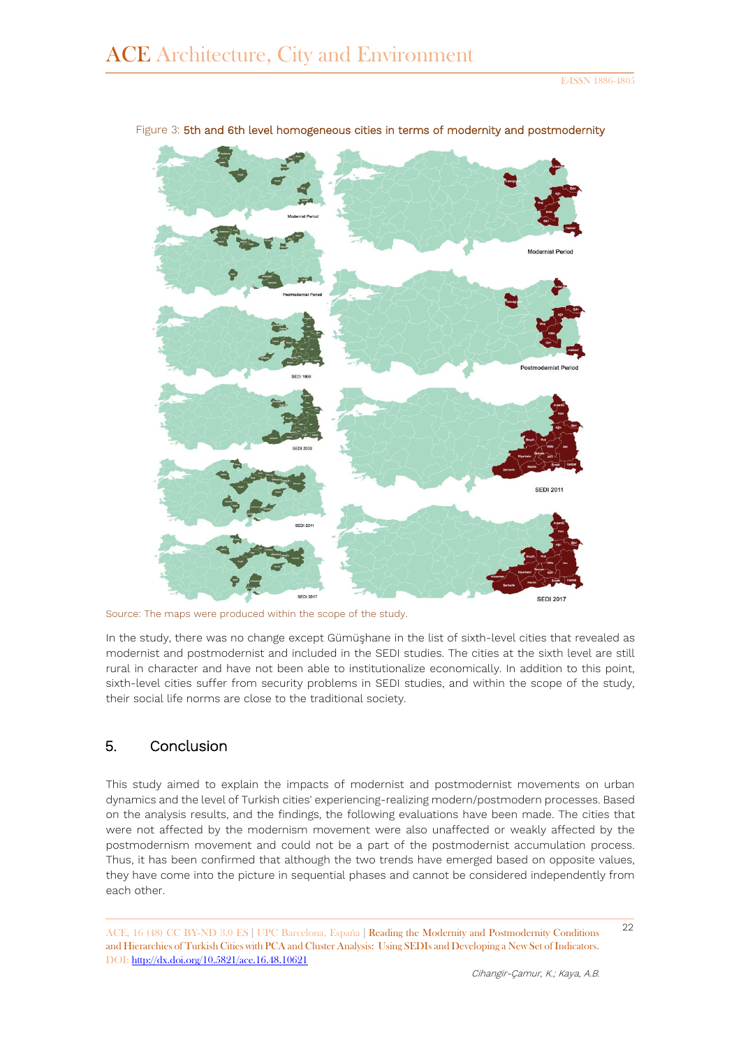

Figure 3: 5th and 6th level homogeneous cities in terms of modernity and postmodernity

Source: The maps were produced within the scope of the study.

In the study, there was no change except Gümüşhane in the list of sixth-level cities that revealed as modernist and postmodernist and included in the SEDI studies. The cities at the sixth level are still rural in character and have not been able to institutionalize economically. In addition to this point, sixth-level cities suffer from security problems in SEDI studies, and within the scope of the study, their social life norms are close to the traditional society.

# 5. Conclusion

This study aimed to explain the impacts of modernist and postmodernist movements on urban dynamics and the level of Turkish cities' experiencing-realizing modern/postmodern processes. Based on the analysis results, and the findings, the following evaluations have been made. The cities that were not affected by the modernism movement were also unaffected or weakly affected by the postmodernism movement and could not be a part of the postmodernist accumulation process. Thus, it has been confirmed that although the two trends have emerged based on opposite values, they have come into the picture in sequential phases and cannot be considered independently from each other.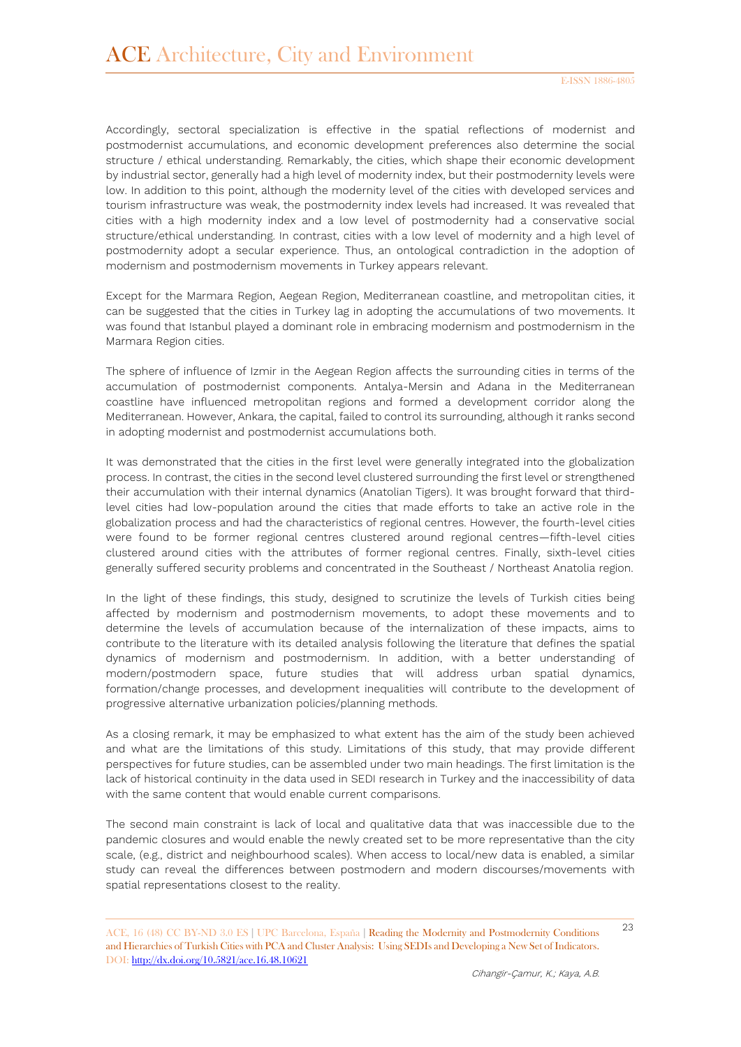Accordingly, sectoral specialization is effective in the spatial reflections of modernist and postmodernist accumulations, and economic development preferences also determine the social structure / ethical understanding. Remarkably, the cities, which shape their economic development by industrial sector, generally had a high level of modernity index, but their postmodernity levels were low. In addition to this point, although the modernity level of the cities with developed services and tourism infrastructure was weak, the postmodernity index levels had increased. It was revealed that cities with a high modernity index and a low level of postmodernity had a conservative social structure/ethical understanding. In contrast, cities with a low level of modernity and a high level of postmodernity adopt a secular experience. Thus, an ontological contradiction in the adoption of modernism and postmodernism movements in Turkey appears relevant.

Except for the Marmara Region, Aegean Region, Mediterranean coastline, and metropolitan cities, it can be suggested that the cities in Turkey lag in adopting the accumulations of two movements. It was found that Istanbul played a dominant role in embracing modernism and postmodernism in the Marmara Region cities.

The sphere of influence of Izmir in the Aegean Region affects the surrounding cities in terms of the accumulation of postmodernist components. Antalya-Mersin and Adana in the Mediterranean coastline have influenced metropolitan regions and formed a development corridor along the Mediterranean. However, Ankara, the capital, failed to control its surrounding, although it ranks second in adopting modernist and postmodernist accumulations both.

It was demonstrated that the cities in the first level were generally integrated into the globalization process. In contrast, the cities in the second level clustered surrounding the first level or strengthened their accumulation with their internal dynamics (Anatolian Tigers). It was brought forward that thirdlevel cities had low-population around the cities that made efforts to take an active role in the globalization process and had the characteristics of regional centres. However, the fourth-level cities were found to be former regional centres clustered around regional centres—fifth-level cities clustered around cities with the attributes of former regional centres. Finally, sixth-level cities generally suffered security problems and concentrated in the Southeast / Northeast Anatolia region.

In the light of these findings, this study, designed to scrutinize the levels of Turkish cities being affected by modernism and postmodernism movements, to adopt these movements and to determine the levels of accumulation because of the internalization of these impacts, aims to contribute to the literature with its detailed analysis following the literature that defines the spatial dynamics of modernism and postmodernism. In addition, with a better understanding of modern/postmodern space, future studies that will address urban spatial dynamics, formation/change processes, and development inequalities will contribute to the development of progressive alternative urbanization policies/planning methods.

As a closing remark, it may be emphasized to what extent has the aim of the study been achieved and what are the limitations of this study. Limitations of this study, that may provide different perspectives for future studies, can be assembled under two main headings. The first limitation is the lack of historical continuity in the data used in SEDI research in Turkey and the inaccessibility of data with the same content that would enable current comparisons.

The second main constraint is lack of local and qualitative data that was inaccessible due to the pandemic closures and would enable the newly created set to be more representative than the city scale, (e.g., district and neighbourhood scales). When access to local/new data is enabled, a similar study can reveal the differences between postmodern and modern discourses/movements with spatial representations closest to the reality.

<sup>23</sup> ACE, 16 (48) CC BY-ND 3.0 ES **<sup>|</sup>**UPC Barcelona, España **<sup>|</sup>** Reading the Modernity and Postmodernity Conditions and Hierarchies of Turkish Cities with PCA and Cluster Analysis: Using SEDIs and Developing a New Set of Indicators. DOI:<http://dx.doi.org/10.5821/ace.16.48.10621>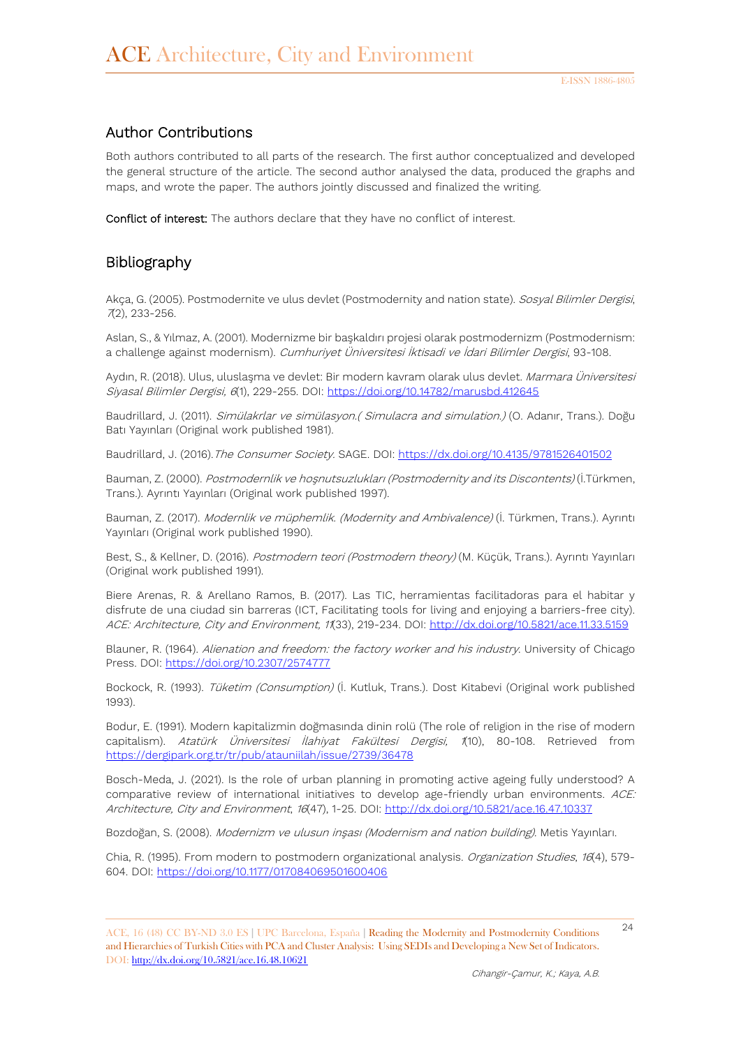# Author Contributions

Both authors contributed to all parts of the research. The first author conceptualized and developed the general structure of the article. The second author analysed the data, produced the graphs and maps, and wrote the paper. The authors jointly discussed and finalized the writing.

Conflict of interest: The authors declare that they have no conflict of interest.

### Bibliography

Akça, G. (2005). Postmodernite ve ulus devlet (Postmodernity and nation state). Sosyal Bilimler Dergisi, <sup>7</sup>(2), 233-256.

Aslan, S., & Yılmaz, A. (2001). Modernizme bir başkaldırı projesi olarak postmodernizm (Postmodernism: a challenge against modernism). Cumhuriyet Üniversitesi İktisadi ve İdari Bilimler Dergisi, 93-108.

Aydın, R. (2018). Ulus, uluslaşma ve devlet: Bir modern kavram olarak ulus devlet. Marmara Üniversitesi Siyasal Bilimler Dergisi, 6(1), 229-255. DOI:<https://doi.org/10.14782/marusbd.412645>

Baudrillard, J. (2011). Simülakrlar ve simülasyon.( Simulacra and simulation.) (O. Adanır, Trans.). Doğu Batı Yayınları (Original work published 1981).

Baudrillard, J. (2016).The Consumer Society. SAGE. DOI:<https://dx.doi.org/10.4135/9781526401502>

Bauman, Z. (2000). Postmodernlik ve hoşnutsuzlukları (Postmodernity and its Discontents) (İ.Türkmen, Trans.). Ayrıntı Yayınları (Original work published 1997).

Bauman, Z. (2017). Modernlik ve müphemlik. (Modernity and Ambivalence) (İ. Türkmen, Trans.). Ayrıntı Yayınları (Original work published 1990).

Best, S., & Kellner, D. (2016). Postmodern teori (Postmodern theory) (M. Küçük, Trans.). Ayrıntı Yayınları (Original work published 1991).

Biere Arenas, R. & Arellano Ramos, B. (2017). Las TIC, herramientas facilitadoras para el habitar y disfrute de una ciudad sin barreras (ICT, Facilitating tools for living and enjoying a barriers-free city). ACE: Architecture, City and Environment, 11(33), 219-234. DOI:<http://dx.doi.org/10.5821/ace.11.33.5159>

Blauner, R. (1964). Alienation and freedom: the factory worker and his industry. University of Chicago Press. DOI:<https://doi.org/10.2307/2574777>

Bockock, R. (1993). Tüketim (Consumption) (İ. Kutluk, Trans.). Dost Kitabevi (Original work published 1993).

Bodur, E. (1991). Modern kapitalizmin doğmasında dinin rolü (The role of religion in the rise of modern capitalism). Atatürk Üniversitesi İlahiyat Fakültesi Dergisi, 1(10), 80-108. Retrieved from <https://dergipark.org.tr/tr/pub/atauniilah/issue/2739/36478>

Bosch-Meda, J. (2021). Is the role of urban planning in promoting active ageing fully understood? A comparative review of international initiatives to develop age-friendly urban environments. ACE: Architecture, City and Environment, 16(47), 1-25. DOI:<http://dx.doi.org/10.5821/ace.16.47.10337>

Bozdoğan, S. (2008). Modernizm ve ulusun inşası (Modernism and nation building). Metis Yayınları.

Chia, R. (1995). From modern to postmodern organizational analysis. *Organization Studies*, 16(4), 579-604. DOI:<https://doi.org/10.1177/017084069501600406>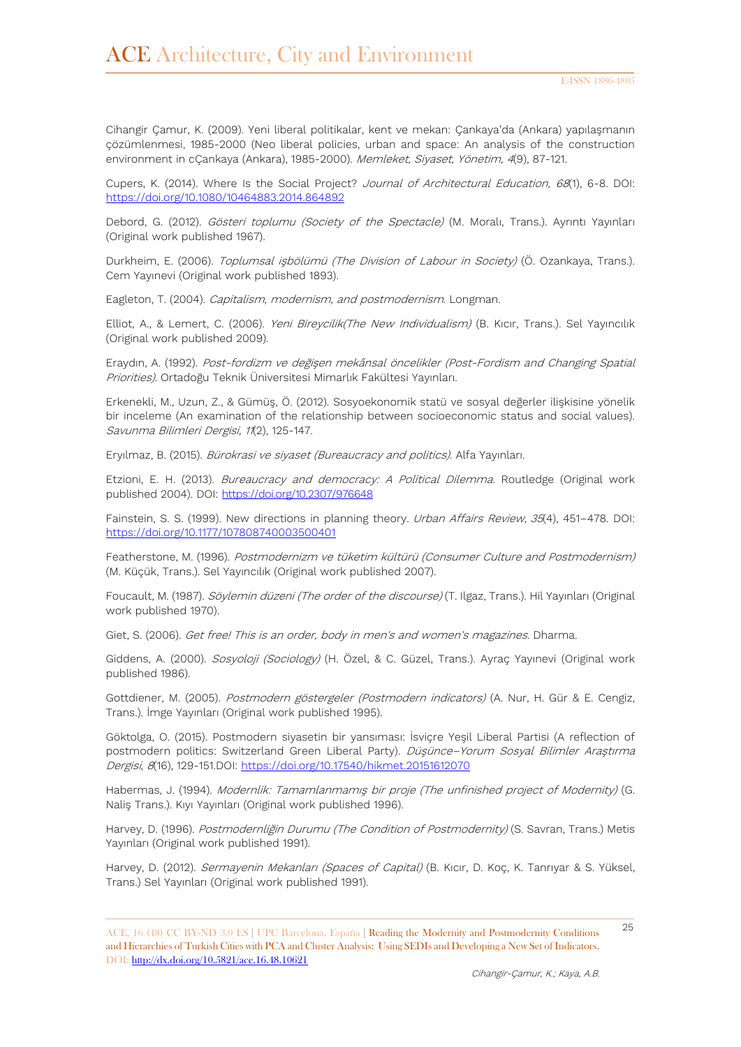Cihangir Çamur, K. (2009). Yeni liberal politikalar, kent ve mekan: Çankaya'da (Ankara) yapılaşmanın çözümlenmesi, 1985-2000 (Neo liberal policies, urban and space: An analysis of the construction environment in cÇankaya (Ankara), 1985-2000). Memleket, Siyaset, Yönetim, 4(9), 87-121.

Cupers, K. (2014). Where Is the Social Project? Journal of Architectural Education, 68(1), 6-8. DOI: <https://doi.org/10.1080/10464883.2014.864892>

Debord, G. (2012). Gösteri toplumu (Society of the Spectacle) (M. Moralı, Trans.). Ayrıntı Yayınları (Original work published 1967).

Durkheim, E. (2006). Toplumsal işbölümü (The Division of Labour in Society) (Ö. Ozankaya, Trans.). Cem Yayınevi (Original work published 1893).

Eagleton, T. (2004). Capitalism, modernism, and postmodernism. Longman.

Elliot, A., & Lemert, C. (2006). Yeni Bireycilik(The New Individualism) (B. Kıcır, Trans.). Sel Yayıncılık (Original work published 2009).

Eraydın, A. (1992). Post-fordizm ve değişen mekânsal öncelikler (Post-Fordism and Changing Spatial Priorities). Ortadoğu Teknik Üniversitesi Mimarlık Fakültesi Yayınları.

Erkenekli, M., Uzun, Z., & Gümüş, Ö. (2012). Sosyoekonomik statü ve sosyal değerler ilişkisine yönelik bir inceleme (An examination of the relationship between socioeconomic status and social values). Savunma Bilimleri Dergisi, 11(2), 125-147.

Eryılmaz, B. (2015). Bürokrasi ve siyaset (Bureaucracy and politics). Alfa Yayınları.

Etzioni, E. H. (2013). Bureaucracy and democracy: A Political Dilemma. Routledge (Original work published 2004). DOI:<https://doi.org/10.2307/976648>

Fainstein, S. S. (1999). New directions in planning theory. *Urban Affairs Review*, 35(4), 451-478. DOI: <https://doi.org/10.1177/107808740003500401>

Featherstone, M. (1996). Postmodernizm ve tüketim kültürü (Consumer Culture and Postmodernism) (M. Küçük, Trans.). Sel Yayıncılık (Original work published 2007).

Foucault, M. (1987). Söylemin düzeni (The order of the discourse) (T. Ilgaz, Trans.). Hil Yayınları (Original work published 1970).

Giet, S. (2006). Get free! This is an order, body in men's and women's magazines. Dharma.

Giddens, A. (2000). Sosyoloji (Sociology) (H. Özel, & C. Güzel, Trans.). Ayraç Yayınevi (Original work published 1986).

Gottdiener, M. (2005). Postmodern göstergeler (Postmodern indicators) (A. Nur, H. Gür & E. Cengiz, Trans.). İmge Yayınları (Original work published 1995).

Göktolga, O. (2015). Postmodern siyasetin bir yansıması: İsviçre Yeşil Liberal Partisi (A reflection of postmodern politics: Switzerland Green Liberal Party). Düşünce–Yorum Sosyal Bilimler Araştırma Dergisi, 8(16), 129-151.DOI:<https://doi.org/10.17540/hikmet.20151612070>

Habermas, J. (1994). Modernlik: Tamamlanmamış bir proje (The unfinished project of Modernity) (G. Naliş Trans.). Kıyı Yayınları (Original work published 1996).

Harvey, D. (1996). Postmodernliğin Durumu (The Condition of Postmodernity) (S. Savran, Trans.) Metis Yayınları (Original work published 1991).

Harvey, D. (2012). Sermayenin Mekanları (Spaces of Capital) (B. Kıcır, D. Koç, K. Tanrıyar & S. Yüksel, Trans.) Sel Yayınları (Original work published 1991).

<sup>25</sup> ACE, 16 (48) CC BY-ND 3.0 ES **<sup>|</sup>**UPC Barcelona, España **<sup>|</sup>** Reading the Modernity and Postmodernity Conditions and Hierarchies of Turkish Cities with PCA and Cluster Analysis: Using SEDIs and Developing a New Set of Indicators. DOI:<http://dx.doi.org/10.5821/ace.16.48.10621>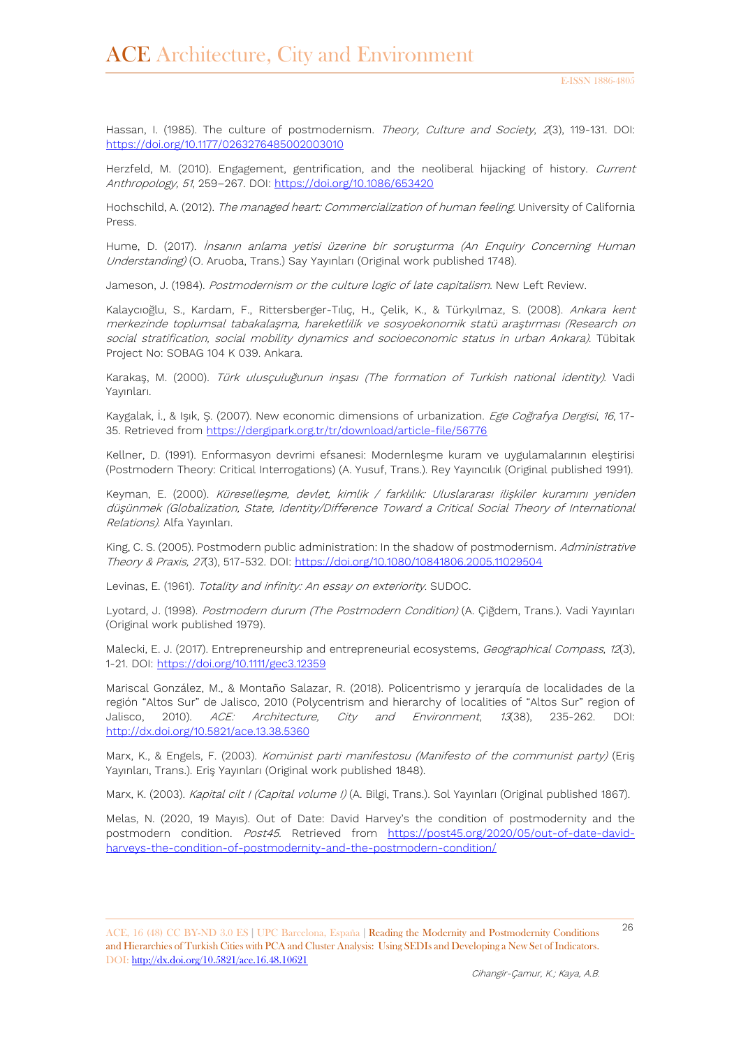Hassan, I. (1985). The culture of postmodernism. Theory, Culture and Society, 2(3), 119-131. DOI: <https://doi.org/10.1177/0263276485002003010>

Herzfeld, M. (2010). Engagement, gentrification, and the neoliberal hijacking of history. Current Anthropology, 51, 259–267. DOI:<https://doi.org/10.1086/653420>

Hochschild, A. (2012). The managed heart: Commercialization of human feeling. University of California Press.

Hume, D. (2017). İnsanın anlama yetisi üzerine bir soruşturma (An Enquiry Concerning Human Understanding) (O. Aruoba, Trans.) Say Yayınları (Original work published 1748).

Jameson, J. (1984). Postmodernism or the culture logic of late capitalism. New Left Review.

Kalaycıoğlu, S., Kardam, F., Rittersberger-Tılıç, H., Çelik, K., & Türkyılmaz, S. (2008). Ankara kent merkezinde toplumsal tabakalaşma, hareketlilik ve sosyoekonomik statü araştırması (Research on social stratification, social mobility dynamics and socioeconomic status in urban Ankara). Tübitak Project No: SOBAG 104 K 039. Ankara.

Karakaş, M. (2000). Türk ulusçuluğunun inşası (The formation of Turkish national identity). Vadi Yayınları.

Kaygalak, İ., & Işık, Ş. (2007). New economic dimensions of urbanization. Ege Coğrafya Dergisi, 16, 17-35. Retrieved from <https://dergipark.org.tr/tr/download/article-file/56776>

Kellner, D. (1991). Enformasyon devrimi efsanesi: Modernleşme kuram ve uygulamalarının eleştirisi (Postmodern Theory: Critical Interrogations) (A. Yusuf, Trans.). Rey Yayıncılık (Original published 1991).

Keyman, E. (2000). Küreselleşme, devlet, kimlik / farklılık: Uluslararası ilişkiler kuramını yeniden düşünmek (Globalization, State, Identity/Difference Toward a Critical Social Theory of International Relations). Alfa Yayınları.

King, C. S. (2005). Postmodern public administration: In the shadow of postmodernism. Administrative Theory & Praxis, 27(3), 517-532. DOI: <https://doi.org/10.1080/10841806.2005.11029504>

Levinas, E. (1961). Totality and infinity: An essay on exteriority. SUDOC.

Lyotard, J. (1998). Postmodern durum (The Postmodern Condition) (A. Çiğdem, Trans.). Vadi Yayınları (Original work published 1979).

Malecki, E. J. (2017). Entrepreneurship and entrepreneurial ecosystems, Geographical Compass, 12(3), 1-21. DOI:<https://doi.org/10.1111/gec3.12359>

Mariscal González, M., & Montaño Salazar, R. (2018). Policentrismo y jerarquía de localidades de la región "Altos Sur" de Jalisco, 2010 (Polycentrism and hierarchy of localities of "Altos Sur" region of Jalisco, 2010). ACE: Architecture, City and Environment, 13(38), 235-262. DOI: <http://dx.doi.org/10.5821/ace.13.38.5360>

Marx, K., & Engels, F. (2003). Komünist parti manifestosu (Manifesto of the communist party) (Eris Yayınları, Trans.). Eriş Yayınları (Original work published 1848).

Marx, K. (2003). Kapital cilt I (Capital volume I) (A. Bilgi, Trans.). Sol Yayınları (Original published 1867).

Melas, N. (2020, 19 Mayıs). Out of Date: David Harvey's the condition of postmodernity and the postmodern condition. Post45. Retrieved from [https://post45.org/2020/05/out-of-date-david](https://post45.org/2020/05/out-of-date-david-harveys-the-condition-of-postmodernity-and-the-postmodern-condition/)[harveys-the-condition-of-postmodernity-and-the-postmodern-condition/](https://post45.org/2020/05/out-of-date-david-harveys-the-condition-of-postmodernity-and-the-postmodern-condition/)

<sup>26</sup> ACE, 16 (48) CC BY-ND 3.0 ES **<sup>|</sup>**UPC Barcelona, España **<sup>|</sup>** Reading the Modernity and Postmodernity Conditions and Hierarchies of Turkish Cities with PCA and Cluster Analysis: Using SEDIs and Developing a New Set of Indicators. DOI:<http://dx.doi.org/10.5821/ace.16.48.10621>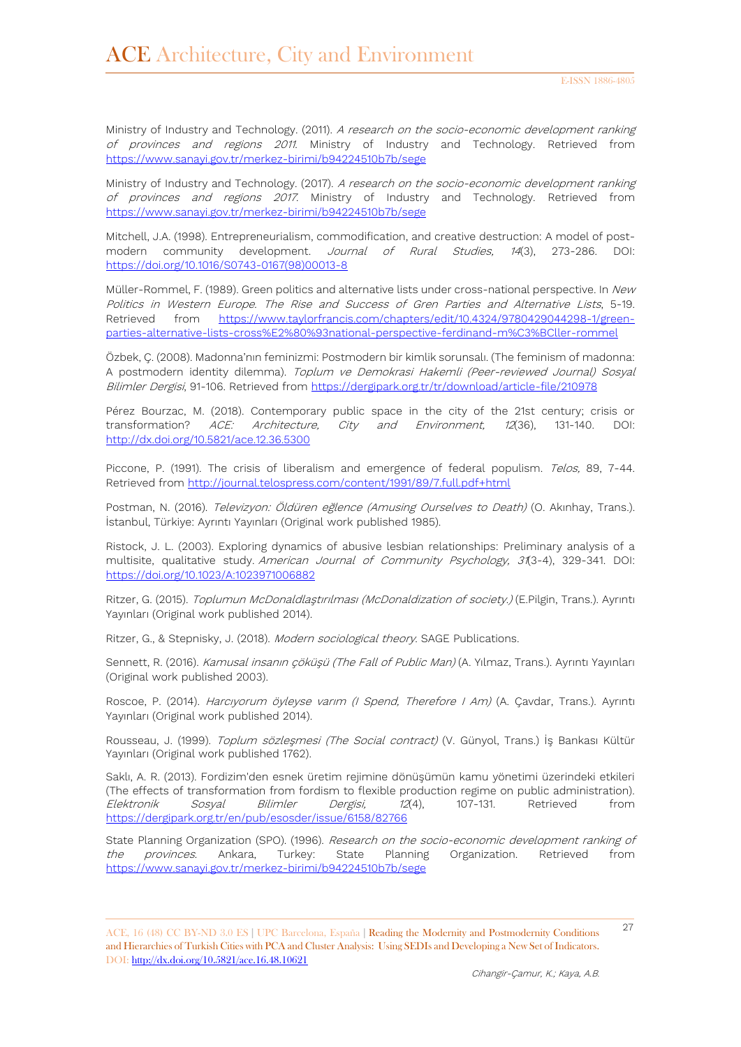Ministry of Industry and Technology. (2011). A research on the socio-economic development ranking of provinces and regions 2011. Ministry of Industry and Technology. Retrieved from <https://www.sanayi.gov.tr/merkez-birimi/b94224510b7b/sege>

Ministry of Industry and Technology. (2017). A research on the socio-economic development ranking of provinces and regions 2017. Ministry of Industry and Technology. Retrieved from <https://www.sanayi.gov.tr/merkez-birimi/b94224510b7b/sege>

Mitchell, J.A. (1998). Entrepreneurialism, commodification, and creative destruction: A model of postmodern community development. Journal of Rural Studies, 14(3), 273-286. DOI: [https://doi.org/10.1016/S0743-0167\(98\)00013-8](https://doi.org/10.1016/S0743-0167(98)00013-8)

Müller-Rommel, F. (1989). Green politics and alternative lists under cross-national perspective. In New Politics in Western Europe. The Rise and Success of Gren Parties and Alternative Lists, 5-19. Retrieved from [https://www.taylorfrancis.com/chapters/edit/10.4324/9780429044298-1/green](https://www.taylorfrancis.com/chapters/edit/10.4324/9780429044298-1/green-parties-alternative-lists-cross%E2%80%93national-perspective-ferdinand-m%C3%BCller-rommel)[parties-alternative-lists-cross%E2%80%93national-perspective-ferdinand-m%C3%BCller-rommel](https://www.taylorfrancis.com/chapters/edit/10.4324/9780429044298-1/green-parties-alternative-lists-cross%E2%80%93national-perspective-ferdinand-m%C3%BCller-rommel)

Özbek, Ç. (2008). Madonna'nın feminizmi: Postmodern bir kimlik sorunsalı. (The feminism of madonna: A postmodern identity dilemma). Toplum ve Demokrasi Hakemli (Peer-reviewed Journal) Sosyal Bilimler Dergisi, 91-106. Retrieved from <https://dergipark.org.tr/tr/download/article-file/210978>

Pérez Bourzac, M. (2018). Contemporary public space in the city of the 21st century; crisis or transformation? ACE: Architecture, City and Environment, 12(36), 131-140. DOI: <http://dx.doi.org/10.5821/ace.12.36.5300>

Piccone, P. (1991). The crisis of liberalism and emergence of federal populism. Telos, 89, 7-44. Retrieved from <http://journal.telospress.com/content/1991/89/7.full.pdf+html>

Postman, N. (2016). Televizyon: Öldüren eğlence (Amusing Ourselves to Death) (O. Akınhay, Trans.). İstanbul, Türkiye: Ayrıntı Yayınları (Original work published 1985).

Ristock, J. L. (2003). Exploring dynamics of abusive lesbian relationships: Preliminary analysis of a multisite, qualitative study. American Journal of Community Psychology, 31(3-4), 329-341. DOI: <https://doi.org/10.1023/A:1023971006882>

Ritzer, G. (2015). Toplumun McDonaldlaştırılması (McDonaldization of society.) (E.Pilgin, Trans.). Ayrıntı Yayınları (Original work published 2014).

Ritzer, G., & Stepnisky, J. (2018). Modern sociological theory. SAGE Publications.

Sennett, R. (2016). Kamusal insanın çöküşü (The Fall of Public Man) (A. Yılmaz, Trans.). Ayrıntı Yayınları (Original work published 2003).

Roscoe, P. (2014). Harcıyorum öyleyse varım (I Spend, Therefore I Am) (A. Çavdar, Trans.). Ayrıntı Yayınları (Original work published 2014).

Rousseau, J. (1999). Toplum sözleşmesi (The Social contract) (V. Günyol, Trans.) İş Bankası Kültür Yayınları (Original work published 1762).

Saklı, A. R. (2013). Fordizim'den esnek üretim rejimine dönüşümün kamu yönetimi üzerindeki etkileri (The effects of transformation from fordism to flexible production regime on public administration). *Elektronik Sosyal Bilimler Dergisi, 12*(4), 107-131. Retrieved from <https://dergipark.org.tr/en/pub/esosder/issue/6158/82766>

State Planning Organization (SPO). (1996). Research on the socio-economic development ranking of the provinces. Ankara, Turkey: State Planning Organization. Retrieved from <https://www.sanayi.gov.tr/merkez-birimi/b94224510b7b/sege>

<sup>27</sup> ACE, 16 (48) CC BY-ND 3.0 ES **<sup>|</sup>**UPC Barcelona, España **<sup>|</sup>** Reading the Modernity and Postmodernity Conditions and Hierarchies of Turkish Cities with PCA and Cluster Analysis: Using SEDIs and Developing a New Set of Indicators. DOI:<http://dx.doi.org/10.5821/ace.16.48.10621>